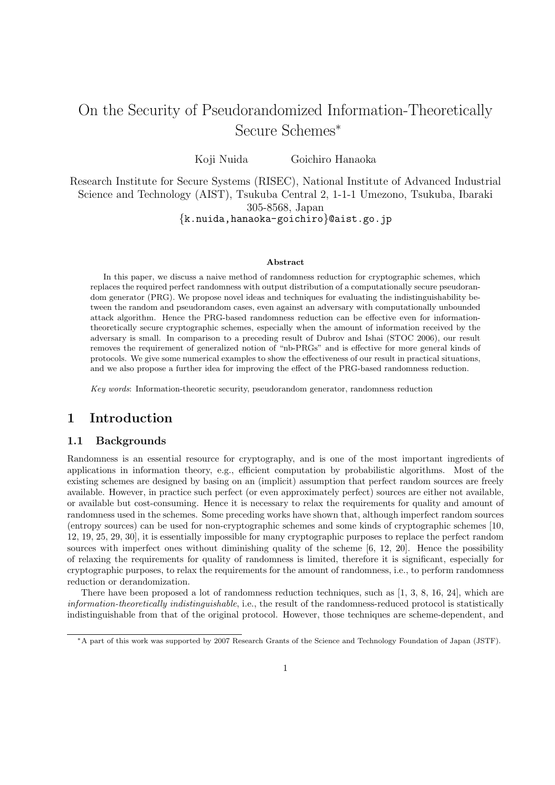# On the Security of Pseudorandomized Information-Theoretically Secure Schemes*<sup>∗</sup>*

Koji Nuida Goichiro Hanaoka

Research Institute for Secure Systems (RISEC), National Institute of Advanced Industrial Science and Technology (AIST), Tsukuba Central 2, 1-1-1 Umezono, Tsukuba, Ibaraki 305-8568, Japan

*{*k.nuida,hanaoka-goichiro*}*@aist.go.jp

#### **Abstract**

In this paper, we discuss a naive method of randomness reduction for cryptographic schemes, which replaces the required perfect randomness with output distribution of a computationally secure pseudorandom generator (PRG). We propose novel ideas and techniques for evaluating the indistinguishability between the random and pseudorandom cases, even against an adversary with computationally unbounded attack algorithm. Hence the PRG-based randomness reduction can be effective even for informationtheoretically secure cryptographic schemes, especially when the amount of information received by the adversary is small. In comparison to a preceding result of Dubrov and Ishai (STOC 2006), our result removes the requirement of generalized notion of "nb-PRGs" and is effective for more general kinds of protocols. We give some numerical examples to show the effectiveness of our result in practical situations, and we also propose a further idea for improving the effect of the PRG-based randomness reduction.

*Key words*: Information-theoretic security, pseudorandom generator, randomness reduction

# **1 Introduction**

#### **1.1 Backgrounds**

Randomness is an essential resource for cryptography, and is one of the most important ingredients of applications in information theory, e.g., efficient computation by probabilistic algorithms. Most of the existing schemes are designed by basing on an (implicit) assumption that perfect random sources are freely available. However, in practice such perfect (or even approximately perfect) sources are either not available, or available but cost-consuming. Hence it is necessary to relax the requirements for quality and amount of randomness used in the schemes. Some preceding works have shown that, although imperfect random sources (entropy sources) can be used for non-cryptographic schemes and some kinds of cryptographic schemes [10, 12, 19, 25, 29, 30], it is essentially impossible for many cryptographic purposes to replace the perfect random sources with imperfect ones without diminishing quality of the scheme [6, 12, 20]. Hence the possibility of relaxing the requirements for quality of randomness is limited, therefore it is significant, especially for cryptographic purposes, to relax the requirements for the amount of randomness, i.e., to perform randomness reduction or derandomization.

There have been proposed a lot of randomness reduction techniques, such as [1, 3, 8, 16, 24], which are *information-theoretically indistinguishable*, i.e., the result of the randomness-reduced protocol is statistically indistinguishable from that of the original protocol. However, those techniques are scheme-dependent, and

*<sup>∗</sup>*A part of this work was supported by 2007 Research Grants of the Science and Technology Foundation of Japan (JSTF).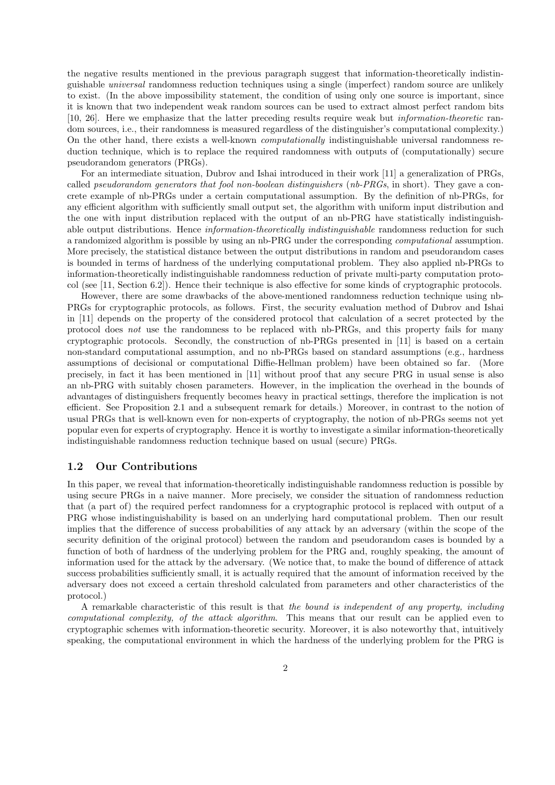the negative results mentioned in the previous paragraph suggest that information-theoretically indistinguishable *universal* randomness reduction techniques using a single (imperfect) random source are unlikely to exist. (In the above impossibility statement, the condition of using only one source is important, since it is known that two independent weak random sources can be used to extract almost perfect random bits [10, 26]. Here we emphasize that the latter preceding results require weak but *information-theoretic* random sources, i.e., their randomness is measured regardless of the distinguisher's computational complexity.) On the other hand, there exists a well-known *computationally* indistinguishable universal randomness reduction technique, which is to replace the required randomness with outputs of (computationally) secure pseudorandom generators (PRGs).

For an intermediate situation, Dubrov and Ishai introduced in their work [11] a generalization of PRGs, called *pseudorandom generators that fool non-boolean distinguishers* (*nb-PRGs*, in short). They gave a concrete example of nb-PRGs under a certain computational assumption. By the definition of nb-PRGs, for any efficient algorithm with sufficiently small output set, the algorithm with uniform input distribution and the one with input distribution replaced with the output of an nb-PRG have statistically indistinguishable output distributions. Hence *information-theoretically indistinguishable* randomness reduction for such a randomized algorithm is possible by using an nb-PRG under the corresponding *computational* assumption. More precisely, the statistical distance between the output distributions in random and pseudorandom cases is bounded in terms of hardness of the underlying computational problem. They also applied nb-PRGs to information-theoretically indistinguishable randomness reduction of private multi-party computation protocol (see [11, Section 6.2]). Hence their technique is also effective for some kinds of cryptographic protocols.

However, there are some drawbacks of the above-mentioned randomness reduction technique using nb-PRGs for cryptographic protocols, as follows. First, the security evaluation method of Dubrov and Ishai in [11] depends on the property of the considered protocol that calculation of a secret protected by the protocol does *not* use the randomness to be replaced with nb-PRGs, and this property fails for many cryptographic protocols. Secondly, the construction of nb-PRGs presented in [11] is based on a certain non-standard computational assumption, and no nb-PRGs based on standard assumptions (e.g., hardness assumptions of decisional or computational Diffie-Hellman problem) have been obtained so far. (More precisely, in fact it has been mentioned in [11] without proof that any secure PRG in usual sense is also an nb-PRG with suitably chosen parameters. However, in the implication the overhead in the bounds of advantages of distinguishers frequently becomes heavy in practical settings, therefore the implication is not efficient. See Proposition 2.1 and a subsequent remark for details.) Moreover, in contrast to the notion of usual PRGs that is well-known even for non-experts of cryptography, the notion of nb-PRGs seems not yet popular even for experts of cryptography. Hence it is worthy to investigate a similar information-theoretically indistinguishable randomness reduction technique based on usual (secure) PRGs.

### **1.2 Our Contributions**

In this paper, we reveal that information-theoretically indistinguishable randomness reduction is possible by using secure PRGs in a naive manner. More precisely, we consider the situation of randomness reduction that (a part of) the required perfect randomness for a cryptographic protocol is replaced with output of a PRG whose indistinguishability is based on an underlying hard computational problem. Then our result implies that the difference of success probabilities of any attack by an adversary (within the scope of the security definition of the original protocol) between the random and pseudorandom cases is bounded by a function of both of hardness of the underlying problem for the PRG and, roughly speaking, the amount of information used for the attack by the adversary. (We notice that, to make the bound of difference of attack success probabilities sufficiently small, it is actually required that the amount of information received by the adversary does not exceed a certain threshold calculated from parameters and other characteristics of the protocol.)

A remarkable characteristic of this result is that *the bound is independent of any property, including computational complexity, of the attack algorithm*. This means that our result can be applied even to cryptographic schemes with information-theoretic security. Moreover, it is also noteworthy that, intuitively speaking, the computational environment in which the hardness of the underlying problem for the PRG is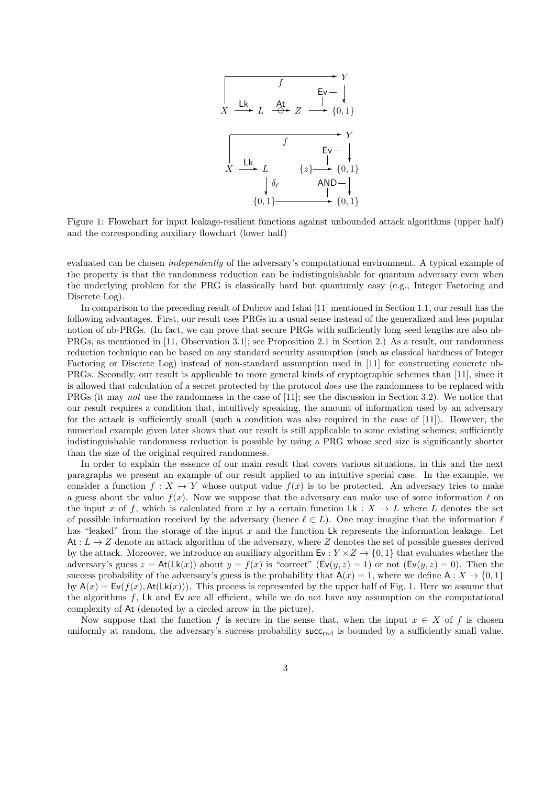

Figure 1: Flowchart for input leakage-resilient functions against unbounded attack algorithms (upper half) and the corresponding auxiliary flowchart (lower half)

evaluated can be chosen *independently* of the adversary's computational environment. A typical example of the property is that the randomness reduction can be indistinguishable for quantum adversary even when the underlying problem for the PRG is classically hard but quantumly easy (e.g., Integer Factoring and Discrete Log).

In comparison to the preceding result of Dubrov and Ishai [11] mentioned in Section 1.1, our result has the following advantages. First, our result uses PRGs in a usual sense instead of the generalized and less popular notion of nb-PRGs. (In fact, we can prove that secure PRGs with sufficiently long seed lengths are also nb-PRGs, as mentioned in [11, Observation 3.1]; see Proposition 2.1 in Section 2.) As a result, our randomness reduction technique can be based on any standard security assumption (such as classical hardness of Integer Factoring or Discrete Log) instead of non-standard assumption used in [11] for constructing concrete nb-PRGs. Secondly, our result is applicable to more general kinds of cryptographic schemes than [11], since it is allowed that calculation of a secret protected by the protocol *does* use the randomness to be replaced with PRGs (it may *not* use the randomness in the case of [11]; see the discussion in Section 3.2). We notice that our result requires a condition that, intuitively speaking, the amount of information used by an adversary for the attack is sufficiently small (such a condition was also required in the case of [11]). However, the numerical example given later shows that our result is still applicable to some existing schemes; sufficiently indistinguishable randomness reduction is possible by using a PRG whose seed size is significantly shorter than the size of the original required randomness.

In order to explain the essence of our main result that covers various situations, in this and the next paragraphs we present an example of our result applied to an intuitive special case. In the example, we consider a function  $f: X \to Y$  whose output value  $f(x)$  is to be protected. An adversary tries to make a guess about the value  $f(x)$ . Now we suppose that the adversary can make use of some information  $\ell$  on the input *x* of *f*, which is calculated from *x* by a certain function Lk :  $X \to L$  where L denotes the set of possible information received by the adversary (hence  $\ell \in L$ ). One may imagine that the information  $\ell$ has "leaked" from the storage of the input *x* and the function Lk represents the information leakage. Let At :  $L \rightarrow Z$  denote an attack algorithm of the adversary, where Z denotes the set of possible guesses derived by the attack. Moreover, we introduce an auxiliary algorithm  $Ev : Y \times Z \rightarrow \{0, 1\}$  that evaluates whether the adversary's guess  $z = \text{At}(\text{Lk}(x))$  about  $y = f(x)$  is "correct" (Ev( $y, z$ ) = 1) or not (Ev( $y, z$ ) = 0). Then the success probability of the adversary's guess is the probability that  $A(x) = 1$ , where we define  $A: X \to \{0, 1\}$ by  $A(x) = Ev(f(x), At(Lk(x)))$ . This process is represented by the upper half of Fig. 1. Here we assume that the algorithms *f*, Lk and Ev are all efficient, while we do not have any assumption on the computational complexity of At (denoted by a circled arrow in the picture).

Now suppose that the function *f* is secure in the sense that, when the input  $x \in X$  of *f* is chosen uniformly at random, the adversary's success probability  $succ_{\text{rnd}}$  is bounded by a sufficiently small value.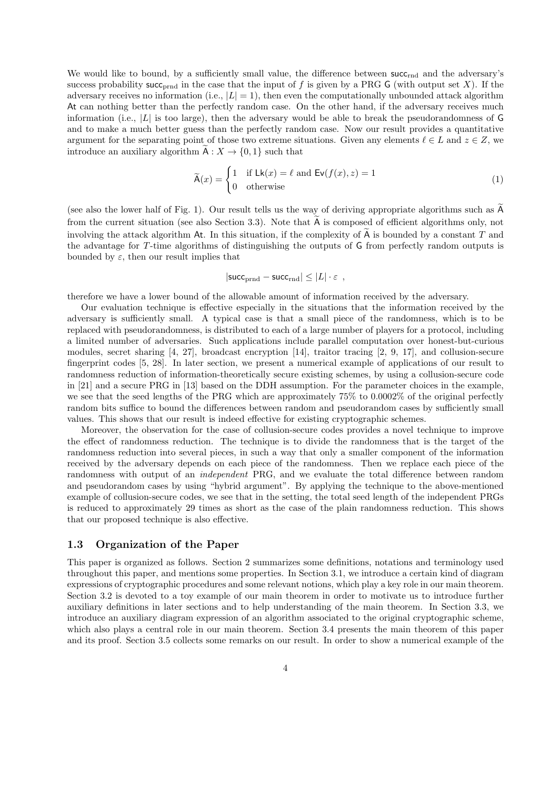We would like to bound, by a sufficiently small value, the difference between  $succ_{\text{rnd}}$  and the adversary's success probability succ<sub>prnd</sub> in the case that the input of  $f$  is given by a PRG G (with output set  $X$ ). If the adversary receives no information (i.e.,  $|L| = 1$ ), then even the computationally unbounded attack algorithm At can nothing better than the perfectly random case. On the other hand, if the adversary receives much information (i.e., *|L|* is too large), then the adversary would be able to break the pseudorandomness of G and to make a much better guess than the perfectly random case. Now our result provides a quantitative argument for the separating point of those two extreme situations. Given any elements  $\ell \in L$  and  $z \in Z$ , we introduce an auxiliary algorithm  $A: X \to \{0, 1\}$  such that

$$
\widetilde{\mathsf{A}}(x) = \begin{cases} 1 & \text{if } \mathsf{Lk}(x) = \ell \text{ and } \mathsf{Ev}(f(x), z) = 1 \\ 0 & \text{otherwise} \end{cases} \tag{1}
$$

(see also the lower half of Fig. 1). Our result tells us the way of deriving appropriate algorithms such as  $\tilde{A}$ from the current situation (see also Section 3.3). Note that A is composed of efficient algorithms only, not involving the attack algorithm At. In this situation, if the complexity of  $\tilde{A}$  is bounded by a constant  $T$  and the advantage for *T*-time algorithms of distinguishing the outputs of G from perfectly random outputs is bounded by  $\varepsilon$ , then our result implies that

$$
|\text{succ}_{\text{prnd}} - \text{succ}_{\text{rnd}}| \leq |L| \cdot \varepsilon ,
$$

therefore we have a lower bound of the allowable amount of information received by the adversary.

Our evaluation technique is effective especially in the situations that the information received by the adversary is sufficiently small. A typical case is that a small piece of the randomness, which is to be replaced with pseudorandomness, is distributed to each of a large number of players for a protocol, including a limited number of adversaries. Such applications include parallel computation over honest-but-curious modules, secret sharing [4, 27], broadcast encryption [14], traitor tracing [2, 9, 17], and collusion-secure fingerprint codes [5, 28]. In later section, we present a numerical example of applications of our result to randomness reduction of information-theoretically secure existing schemes, by using a collusion-secure code in [21] and a secure PRG in [13] based on the DDH assumption. For the parameter choices in the example, we see that the seed lengths of the PRG which are approximately 75% to 0*.*0002% of the original perfectly random bits suffice to bound the differences between random and pseudorandom cases by sufficiently small values. This shows that our result is indeed effective for existing cryptographic schemes.

Moreover, the observation for the case of collusion-secure codes provides a novel technique to improve the effect of randomness reduction. The technique is to divide the randomness that is the target of the randomness reduction into several pieces, in such a way that only a smaller component of the information received by the adversary depends on each piece of the randomness. Then we replace each piece of the randomness with output of an *independent* PRG, and we evaluate the total difference between random and pseudorandom cases by using "hybrid argument". By applying the technique to the above-mentioned example of collusion-secure codes, we see that in the setting, the total seed length of the independent PRGs is reduced to approximately 29 times as short as the case of the plain randomness reduction. This shows that our proposed technique is also effective.

### **1.3 Organization of the Paper**

This paper is organized as follows. Section 2 summarizes some definitions, notations and terminology used throughout this paper, and mentions some properties. In Section 3.1, we introduce a certain kind of diagram expressions of cryptographic procedures and some relevant notions, which play a key role in our main theorem. Section 3.2 is devoted to a toy example of our main theorem in order to motivate us to introduce further auxiliary definitions in later sections and to help understanding of the main theorem. In Section 3.3, we introduce an auxiliary diagram expression of an algorithm associated to the original cryptographic scheme, which also plays a central role in our main theorem. Section 3.4 presents the main theorem of this paper and its proof. Section 3.5 collects some remarks on our result. In order to show a numerical example of the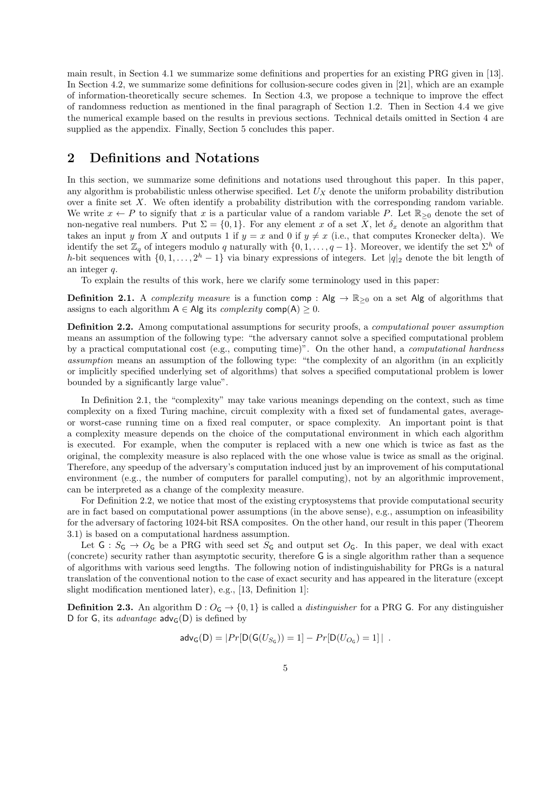main result, in Section 4.1 we summarize some definitions and properties for an existing PRG given in [13]. In Section 4.2, we summarize some definitions for collusion-secure codes given in [21], which are an example of information-theoretically secure schemes. In Section 4.3, we propose a technique to improve the effect of randomness reduction as mentioned in the final paragraph of Section 1.2. Then in Section 4.4 we give the numerical example based on the results in previous sections. Technical details omitted in Section 4 are supplied as the appendix. Finally, Section 5 concludes this paper.

# **2 Definitions and Notations**

In this section, we summarize some definitions and notations used throughout this paper. In this paper, any algorithm is probabilistic unless otherwise specified. Let *U<sup>X</sup>* denote the uniform probability distribution over a finite set *X*. We often identify a probability distribution with the corresponding random variable. We write  $x \leftarrow P$  to signify that x is a particular value of a random variable P. Let  $\mathbb{R}_{\geq 0}$  denote the set of non-negative real numbers. Put  $\Sigma = \{0,1\}$ . For any element *x* of a set *X*, let  $\delta_x$  denote an algorithm that takes an input *y* from *X* and outputs 1 if  $y = x$  and 0 if  $y \neq x$  (i.e., that computes Kronecker delta). We identify the set  $\mathbb{Z}_q$  of integers modulo q naturally with  $\{0, 1, \ldots, q-1\}$ . Moreover, we identify the set  $\Sigma^h$  of *h*-bit sequences with  $\{0, 1, \ldots, 2^h - 1\}$  via binary expressions of integers. Let  $|q|_2$  denote the bit length of an integer *q*.

To explain the results of this work, here we clarify some terminology used in this paper:

**Definition 2.1.** A *complexity measure* is a function comp : Alg  $\rightarrow \mathbb{R}_{\geq 0}$  on a set Alg of algorithms that assigns to each algorithm  $A \in Alg$  its *complexity*  $comp(A) \geq 0$ .

**Definition 2.2.** Among computational assumptions for security proofs, a *computational power assumption* means an assumption of the following type: "the adversary cannot solve a specified computational problem by a practical computational cost (e.g., computing time)". On the other hand, a *computational hardness assumption* means an assumption of the following type: "the complexity of an algorithm (in an explicitly or implicitly specified underlying set of algorithms) that solves a specified computational problem is lower bounded by a significantly large value".

In Definition 2.1, the "complexity" may take various meanings depending on the context, such as time complexity on a fixed Turing machine, circuit complexity with a fixed set of fundamental gates, averageor worst-case running time on a fixed real computer, or space complexity. An important point is that a complexity measure depends on the choice of the computational environment in which each algorithm is executed. For example, when the computer is replaced with a new one which is twice as fast as the original, the complexity measure is also replaced with the one whose value is twice as small as the original. Therefore, any speedup of the adversary's computation induced just by an improvement of his computational environment (e.g., the number of computers for parallel computing), not by an algorithmic improvement, can be interpreted as a change of the complexity measure.

For Definition 2.2, we notice that most of the existing cryptosystems that provide computational security are in fact based on computational power assumptions (in the above sense), e.g., assumption on infeasibility for the adversary of factoring 1024-bit RSA composites. On the other hand, our result in this paper (Theorem 3.1) is based on a computational hardness assumption.

Let  $G : S_G \to O_G$  be a PRG with seed set  $S_G$  and output set  $O_G$ . In this paper, we deal with exact (concrete) security rather than asymptotic security, therefore G is a single algorithm rather than a sequence of algorithms with various seed lengths. The following notion of indistinguishability for PRGs is a natural translation of the conventional notion to the case of exact security and has appeared in the literature (except slight modification mentioned later), e.g., [13, Definition 1]:

**Definition 2.3.** An algorithm  $D: O_G \to \{0, 1\}$  is called a *distinguisher* for a PRG G. For any distinguisher D for G, its *advantage*  $\text{adv}_G(D)$  is defined by

$$
adv_G(D) = |Pr[D(G(U_{S_G})) = 1] - Pr[D(U_{O_G}) = 1]|.
$$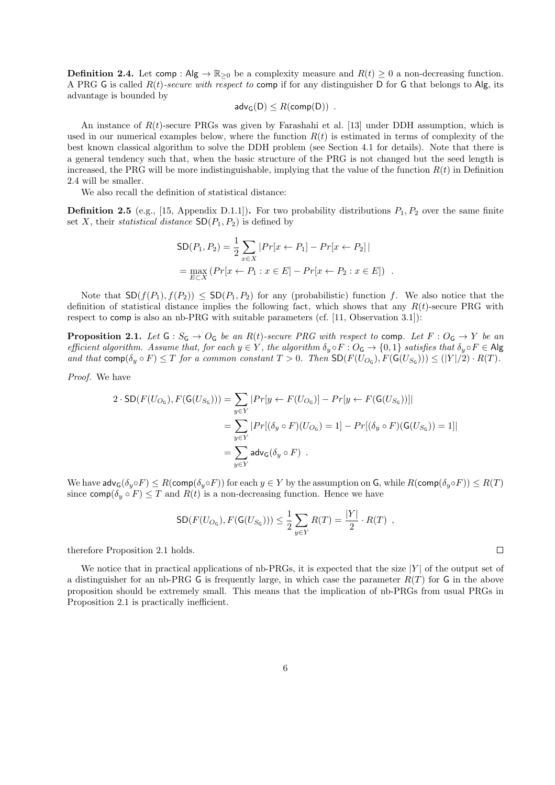**Definition 2.4.** Let comp : Alg  $\rightarrow \mathbb{R}_{\geq 0}$  be a complexity measure and  $R(t) \geq 0$  a non-decreasing function. A PRG G is called *R*(*t*)*-secure with respect to* comp if for any distinguisher D for G that belongs to Alg, its advantage is bounded by

$$
adv_G(D) \leq R(\text{comp}(D)) .
$$

An instance of *R*(*t*)-secure PRGs was given by Farashahi et al. [13] under DDH assumption, which is used in our numerical examples below, where the function  $R(t)$  is estimated in terms of complexity of the best known classical algorithm to solve the DDH problem (see Section 4.1 for details). Note that there is a general tendency such that, when the basic structure of the PRG is not changed but the seed length is increased, the PRG will be more indistinguishable, implying that the value of the function  $R(t)$  in Definition 2.4 will be smaller.

We also recall the definition of statistical distance:

**Definition 2.5** (e.g., [15, Appendix D.1.1]). For two probability distributions  $P_1, P_2$  over the same finite set *X*, their *statistical distance*  $SD(P_1, P_2)$  is defined by

$$
SD(P_1, P_2) = \frac{1}{2} \sum_{x \in X} |Pr[x \leftarrow P_1] - Pr[x \leftarrow P_2]|
$$
  
= 
$$
\max_{E \subset X} (Pr[x \leftarrow P_1 : x \in E] - Pr[x \leftarrow P_2 : x \in E])
$$
.

Note that  $SD(f(P_1), f(P_2)) \leq SD(P_1, P_2)$  for any (probabilistic) function *f*. We also notice that the definition of statistical distance implies the following fact, which shows that any *R*(*t*)-secure PRG with respect to comp is also an nb-PRG with suitable parameters (cf. [11, Observation 3.1]):

**Proposition 2.1.** *Let*  $G : S_G \to O_G$  *be an*  $R(t)$ *-secure PRG with respect to comp. Let*  $F : O_G \to Y$  *be an* efficient algorithm. Assume that, for each  $y \in Y$ , the algorithm  $\delta_y \circ F : O_G \to \{0,1\}$  satisfies that  $\delta_y \circ F \in \mathsf{Alg}$ and that  $\text{comp}(\delta_y \circ F) \leq T$  for a common constant  $T > 0$ . Then  $\text{SD}(F(U_{O_G}), F(\text{G}(U_{S_G}))) \leq (|Y|/2) \cdot R(T)$ .

*Proof.* We have

$$
2 \cdot SD(F(U_{O_G}), F(G(U_{S_G}))) = \sum_{y \in Y} |Pr[y \leftarrow F(U_{O_G})] - Pr[y \leftarrow F(G(U_{S_G}))]|
$$
  
= 
$$
\sum_{y \in Y} |Pr[(\delta_y \circ F)(U_{O_G}) = 1] - Pr[(\delta_y \circ F)(G(U_{S_G})) = 1]|
$$
  
= 
$$
\sum_{y \in Y} adv_G(\delta_y \circ F).
$$

We have  $\textsf{adv}_{G}(\delta_{y} \circ F) \leq R(\textsf{comp}(\delta_{y} \circ F))$  for each  $y \in Y$  by the assumption on G, while  $R(\textsf{comp}(\delta_{y} \circ F)) \leq R(T)$ since  $\mathsf{comp}(\delta_y \circ F) \leq T$  and  $R(t)$  is a non-decreasing function. Hence we have

$$
SD(F(U_{O_G}), F(G(U_{S_G}))) \leq \frac{1}{2} \sum_{y \in Y} R(T) = \frac{|Y|}{2} \cdot R(T) ,
$$

therefore Proposition 2.1 holds.

We notice that in practical applications of nb-PRGs, it is expected that the size  $|Y|$  of the output set of a distinguisher for an nb-PRG G is frequently large, in which case the parameter  $R(T)$  for G in the above proposition should be extremely small. This means that the implication of nb-PRGs from usual PRGs in Proposition 2.1 is practically inefficient.

 $\Box$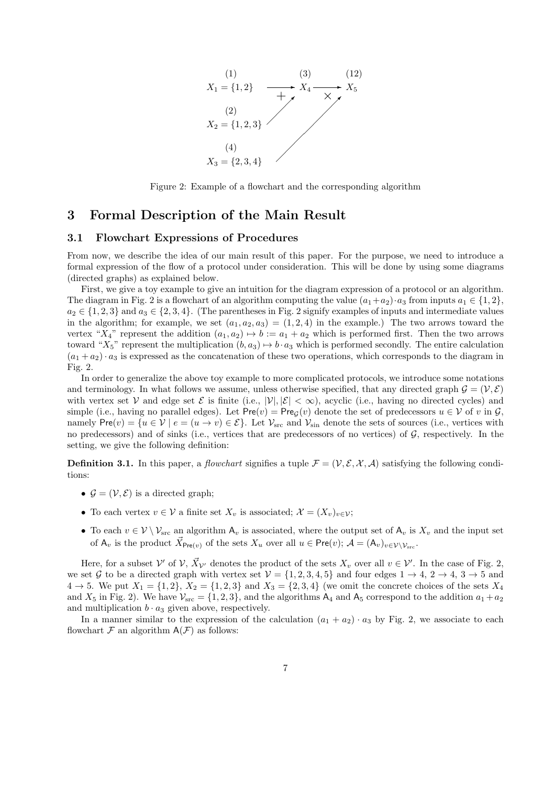

Figure 2: Example of a flowchart and the corresponding algorithm

### **3 Formal Description of the Main Result**

#### **3.1 Flowchart Expressions of Procedures**

From now, we describe the idea of our main result of this paper. For the purpose, we need to introduce a formal expression of the flow of a protocol under consideration. This will be done by using some diagrams (directed graphs) as explained below.

First, we give a toy example to give an intuition for the diagram expression of a protocol or an algorithm. The diagram in Fig. 2 is a flowchart of an algorithm computing the value  $(a_1+a_2)\cdot a_3$  from inputs  $a_1 \in \{1,2\}$ ,  $a_2 \in \{1,2,3\}$  and  $a_3 \in \{2,3,4\}$ . (The parentheses in Fig. 2 signify examples of inputs and intermediate values in the algorithm; for example, we set  $(a_1, a_2, a_3) = (1, 2, 4)$  in the example.) The two arrows toward the vertex " $X_4$ " represent the addition  $(a_1, a_2) \mapsto b := a_1 + a_2$  which is performed first. Then the two arrows toward " $X_5$ " represent the multiplication  $(b, a_3) \mapsto b \cdot a_3$  which is performed secondly. The entire calculation  $(a_1 + a_2) \cdot a_3$  is expressed as the concatenation of these two operations, which corresponds to the diagram in Fig. 2.

In order to generalize the above toy example to more complicated protocols, we introduce some notations and terminology. In what follows we assume, unless otherwise specified, that any directed graph  $\mathcal{G} = (\mathcal{V}, \mathcal{E})$ with vertex set *V* and edge set *E* is finite (i.e.,  $|\mathcal{V}|, |\mathcal{E}| < \infty$ ), acyclic (i.e., having no directed cycles) and simple (i.e., having no parallel edges). Let  $\text{Pre}(v) = \text{Pre}_{\mathcal{G}}(v)$  denote the set of predecessors  $u \in \mathcal{V}$  of v in  $\mathcal{G}$ , namely  $\textsf{Pre}(v) = \{u \in \mathcal{V} \mid e = (u \to v) \in \mathcal{E}\}\.$  Let  $\mathcal{V}_{\text{src}}$  and  $\mathcal{V}_{\text{sin}}$  denote the sets of sources (i.e., vertices with no predecessors) and of sinks (i.e., vertices that are predecessors of no vertices) of *G*, respectively. In the setting, we give the following definition:

**Definition 3.1.** In this paper, a *flowchart* signifies a tuple  $\mathcal{F} = (\mathcal{V}, \mathcal{E}, \mathcal{X}, \mathcal{A})$  satisfying the following conditions:

- $\mathcal{G} = (\mathcal{V}, \mathcal{E})$  is a directed graph;
- To each vertex  $v \in V$  a finite set  $X_v$  is associated;  $\mathcal{X} = (X_v)_{v \in V}$ ;
- To each  $v \in V \setminus V_{\text{src}}$  an algorithm  $A_v$  is associated, where the output set of  $A_v$  is  $X_v$  and the input set of  $A_v$  is the product  $\vec{X}_{\text{Pre}(v)}$  of the sets  $X_u$  over all  $u \in \text{Pre}(v)$ ;  $\mathcal{A} = (A_v)_{v \in \mathcal{V} \setminus \mathcal{V}_{\text{src}}}$ .

Here, for a subset  $V'$  of  $V$ ,  $\vec{X}_{V'}$  denotes the product of the sets  $X_v$  over all  $v \in V'$ . In the case of Fig. 2, we set *G* to be a directed graph with vertex set  $V = \{1, 2, 3, 4, 5\}$  and four edges  $1 \rightarrow 4$ ,  $2 \rightarrow 4$ ,  $3 \rightarrow 5$  and  $4 \rightarrow 5$ . We put  $X_1 = \{1, 2\}$ ,  $X_2 = \{1, 2, 3\}$  and  $X_3 = \{2, 3, 4\}$  (we omit the concrete choices of the sets  $X_4$ and  $X_5$  in Fig. 2). We have  $V_{\text{src}} = \{1, 2, 3\}$ , and the algorithms  $A_4$  and  $A_5$  correspond to the addition  $a_1 + a_2$ and multiplication  $b \cdot a_3$  given above, respectively.

In a manner similar to the expression of the calculation  $(a_1 + a_2) \cdot a_3$  by Fig. 2, we associate to each flowchart  $\mathcal F$  an algorithm  $A(\mathcal F)$  as follows: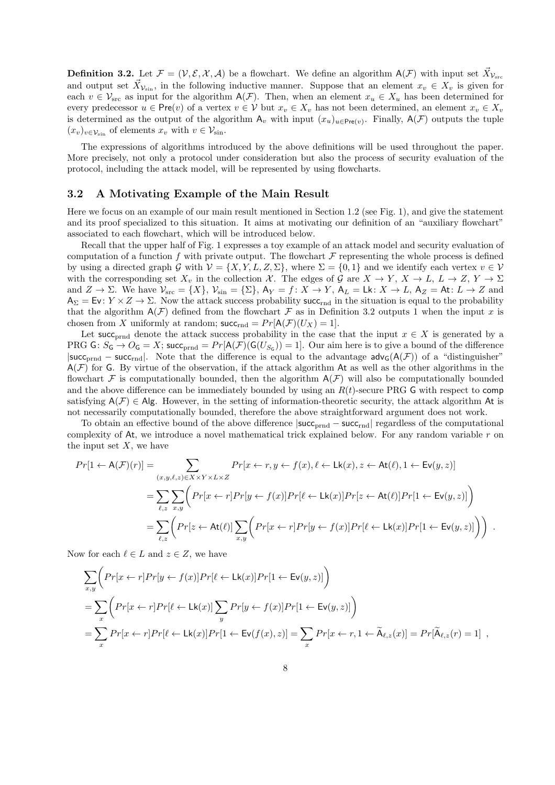**Definition 3.2.** Let  $\mathcal{F} = (\mathcal{V}, \mathcal{E}, \mathcal{X}, \mathcal{A})$  be a flowchart. We define an algorithm  $A(\mathcal{F})$  with input set  $\vec{X}_{\mathcal{V}_{src}}$ and output set  $\vec{X}_{\mathcal{V}_{\sin}}$ , in the following inductive manner. Suppose that an element  $x_v \in X_v$  is given for each  $v \in V_{\text{src}}$  as input for the algorithm  $A(F)$ . Then, when an element  $x_u \in X_u$  has been determined for every predecessor  $u \in \text{Pre}(v)$  of a vertex  $v \in V$  but  $x_v \in X_v$  has not been determined, an element  $x_v \in X_v$ is determined as the output of the algorithm  $A_v$  with input  $(x_u)_{u \in Pre(v)}$ . Finally,  $A(\mathcal{F})$  outputs the tuple  $(x_v)_{v \in \mathcal{V}_{\sin}}$  of elements  $x_v$  with  $v \in \mathcal{V}_{\sin}$ .

The expressions of algorithms introduced by the above definitions will be used throughout the paper. More precisely, not only a protocol under consideration but also the process of security evaluation of the protocol, including the attack model, will be represented by using flowcharts.

### **3.2 A Motivating Example of the Main Result**

Here we focus on an example of our main result mentioned in Section 1.2 (see Fig. 1), and give the statement and its proof specialized to this situation. It aims at motivating our definition of an "auxiliary flowchart" associated to each flowchart, which will be introduced below.

Recall that the upper half of Fig. 1 expresses a toy example of an attack model and security evaluation of computation of a function  $f$  with private output. The flowchart  $\mathcal F$  representing the whole process is defined by using a directed graph  $G$  with  $V = \{X, Y, L, Z, \Sigma\}$ , where  $\Sigma = \{0, 1\}$  and we identify each vertex  $v \in V$ with the corresponding set  $X_v$  in the collection *X*. The edges of  $\mathcal{G}$  are  $X \to Y$ ,  $X \to L$ ,  $L \to Z$ ,  $Y \to \Sigma$ and  $Z \to \Sigma$ . We have  $\mathcal{V}_{\text{src}} = \{X\}$ ,  $\mathcal{V}_{\text{sin}} = \{\Sigma\}$ ,  $A_Y = f: X \to Y$ ,  $A_L = Lk: X \to L$ ,  $A_Z = At: L \to Z$  and  $A_{\Sigma} = Ev: Y \times Z \to \Sigma$ . Now the attack success probability succ<sub>rnd</sub> in the situation is equal to the probability that the algorithm  $A(F)$  defined from the flowchart F as in Definition 3.2 outputs 1 when the input x is chosen from *X* uniformly at random;  $succ_{\text{rnd}} = Pr[A(\mathcal{F})(U_X) = 1].$ 

Let succ<sub>prnd</sub> denote the attack success probability in the case that the input  $x \in X$  is generated by a  $PRG \, G: S_G \to O_G = X$ ; succ<sub>prnd</sub> =  $Pr[A(\mathcal{F})(G(U_{S_G})) = 1]$ . Our aim here is to give a bound of the difference *|*succ<sub>prnd</sub> *−* succ<sub>rnd</sub>*|*. Note that the difference is equal to the advantage adv<sub>G</sub>(A(*F*)) of a "distinguisher"  $A(F)$  for G. By virtue of the observation, if the attack algorithm At as well as the other algorithms in the flowchart *F* is computationally bounded, then the algorithm  $A(F)$  will also be computationally bounded and the above difference can be immediately bounded by using an *R*(*t*)-secure PRG G with respect to comp satisfying  $A(F) \in Alg$ . However, in the setting of information-theoretic security, the attack algorithm At is not necessarily computationally bounded, therefore the above straightforward argument does not work.

To obtain an effective bound of the above difference  $|succ_{\text{pred}} - succ_{\text{rnd}}|$  regardless of the computational complexity of At, we introduce a novel mathematical trick explained below. For any random variable *r* on the input set  $X$ , we have

$$
Pr[1 \leftarrow A(\mathcal{F})(r)] = \sum_{(x,y,\ell,z) \in X \times Y \times L \times Z} Pr[x \leftarrow r, y \leftarrow f(x), \ell \leftarrow \text{Lk}(x), z \leftarrow \text{At}(\ell), 1 \leftarrow \text{Ev}(y, z)]
$$
  

$$
= \sum_{\ell,z} \sum_{x,y} \left( Pr[x \leftarrow r] Pr[y \leftarrow f(x)] Pr[\ell \leftarrow \text{Lk}(x)] Pr[z \leftarrow \text{At}(\ell)] Pr[1 \leftarrow \text{Ev}(y, z)] \right) \right) = \sum_{\ell,z} \left( Pr[z \leftarrow \text{At}(\ell)] \sum_{x,y} \left( Pr[x \leftarrow r] Pr[y \leftarrow f(x)] Pr[\ell \leftarrow \text{Lk}(x)] Pr[1 \leftarrow \text{Ev}(y, z)] \right) \right) .
$$

Now for each  $\ell \in L$  and  $z \in Z$ , we have

$$
\sum_{x,y} \left( Pr[x \leftarrow r] Pr[y \leftarrow f(x)] Pr[\ell \leftarrow Lk(x)] Pr[1 \leftarrow Ev(y, z)] \right) \right)
$$
\n
$$
= \sum_{x} \left( Pr[x \leftarrow r] Pr[\ell \leftarrow Lk(x)] \sum_{y} Pr[y \leftarrow f(x)] Pr[1 \leftarrow Ev(y, z)] \right) \right)
$$
\n
$$
= \sum_{x} Pr[x \leftarrow r] Pr[\ell \leftarrow Lk(x)] Pr[1 \leftarrow Ev(f(x), z)] = \sum_{x} Pr[x \leftarrow r, 1 \leftarrow \tilde{A}_{\ell, z}(x)] = Pr[\tilde{A}_{\ell, z}(r) = 1],
$$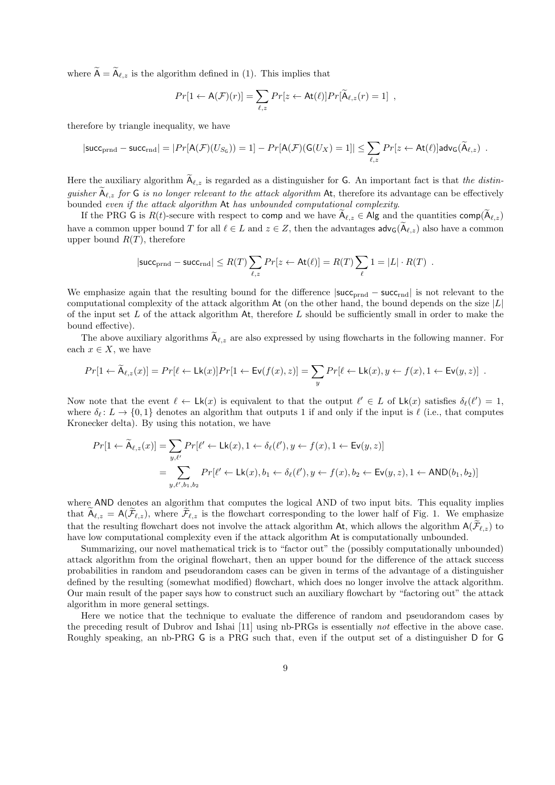where  $\widetilde{A} = \widetilde{A}_{\ell,z}$  is the algorithm defined in (1). This implies that

$$
Pr[1 \leftarrow A(\mathcal{F})(r)] = \sum_{\ell,z} Pr[z \leftarrow At(\ell)] Pr[\widetilde{A}_{\ell,z}(r) = 1],
$$

therefore by triangle inequality, we have

$$
|\mathsf{succ}_{\text{prnd}} - \mathsf{succ}_{\text{rnd}}| = |Pr[\mathsf{A}(\mathcal{F})(U_{S_{\mathsf{G}}})) = 1] - Pr[\mathsf{A}(\mathcal{F})(\mathsf{G}(U_X) = 1]| \le \sum_{\ell,z} Pr[z \leftarrow \mathsf{At}(\ell)] \mathsf{adv}_{\mathsf{G}}(\widetilde{\mathsf{A}}_{\ell,z}) \enspace .
$$

Here the auxiliary algorithm  $\widetilde{A}_{\ell,z}$  is regarded as a distinguisher for G. An important fact is that *the distinguisher*  $\tilde{A}_{\ell,z}$  *for* G *is no longer relevant to the attack algorithm* At, therefore its advantage can be effectively bounded *even if the attack algorithm* At *has unbounded computational complexity*.

If the PRG G is  $R(t)$ -secure with respect to comp and we have  $A_{\ell,z} \in \mathsf{Alg}$  and the quantities comp( $A_{\ell,z}$ ) have a common upper bound *T* for all  $\ell \in L$  and  $z \in Z$ , then the advantages  $\text{adv}_{G}(\tilde{A}_{\ell,z})$  also have a common upper bound  $R(T)$ , therefore

$$
|\text{succ}_{\text{prnd}} - \text{succ}_{\text{rnd}}| \leq R(T) \sum_{\ell, z} Pr[z \leftarrow \text{At}(\ell)] = R(T) \sum_{\ell} 1 = |L| \cdot R(T) .
$$

We emphasize again that the resulting bound for the difference  $|succ_{prnd} - succ_{rnd}|$  is not relevant to the computational complexity of the attack algorithm At (on the other hand, the bound depends on the size *|L|* of the input set *L* of the attack algorithm At, therefore *L* should be sufficiently small in order to make the bound effective).

The above auxiliary algorithms  $A_{\ell,z}$  are also expressed by using flowcharts in the following manner. For each  $x \in X$ , we have

$$
Pr[1 \leftarrow \widetilde{\mathsf{A}}_{\ell,z}(x)] = Pr[\ell \leftarrow \mathsf{Lk}(x)] Pr[1 \leftarrow \mathsf{Ev}(f(x),z)] = \sum_{y} Pr[\ell \leftarrow \mathsf{Lk}(x), y \leftarrow f(x), 1 \leftarrow \mathsf{Ev}(y,z)] \enspace .
$$

Now note that the event  $\ell \leftarrow \mathsf{Lk}(x)$  is equivalent to that the output  $\ell' \in L$  of  $\mathsf{Lk}(x)$  satisfies  $\delta_{\ell}(\ell') = 1$ , where  $\delta_{\ell}: L \to \{0,1\}$  denotes an algorithm that outputs 1 if and only if the input is  $\ell$  (i.e., that computes Kronecker delta). By using this notation, we have

$$
Pr[1 \leftarrow \widetilde{A}_{\ell,z}(x)] = \sum_{y,\ell'} Pr[\ell' \leftarrow \mathsf{Lk}(x), 1 \leftarrow \delta_{\ell}(\ell'), y \leftarrow f(x), 1 \leftarrow \mathsf{Ev}(y,z)]
$$
  
= 
$$
\sum_{y,\ell',b_1,b_2} Pr[\ell' \leftarrow \mathsf{Lk}(x), b_1 \leftarrow \delta_{\ell}(\ell'), y \leftarrow f(x), b_2 \leftarrow \mathsf{Ev}(y,z), 1 \leftarrow \mathsf{AND}(b_1, b_2)]
$$

where AND denotes an algorithm that computes the logical AND of two input bits. This equality implies that  $A_{\ell,z} = A(\mathcal{F}_{\ell,z})$ , where  $\mathcal{F}_{\ell,z}$  is the flowchart corresponding to the lower half of Fig. 1. We emphasize that the resulting flowchart does not involve the attack algorithm At, which allows the algorithm  $A(\widetilde{\mathcal{F}}_{\ell,z})$  to have low computational complexity even if the attack algorithm At is computationally unbounded.

Summarizing, our novel mathematical trick is to "factor out" the (possibly computationally unbounded) attack algorithm from the original flowchart, then an upper bound for the difference of the attack success probabilities in random and pseudorandom cases can be given in terms of the advantage of a distinguisher defined by the resulting (somewhat modified) flowchart, which does no longer involve the attack algorithm. Our main result of the paper says how to construct such an auxiliary flowchart by "factoring out" the attack algorithm in more general settings.

Here we notice that the technique to evaluate the difference of random and pseudorandom cases by the preceding result of Dubrov and Ishai [11] using nb-PRGs is essentially *not* effective in the above case. Roughly speaking, an nb-PRG G is a PRG such that, even if the output set of a distinguisher D for G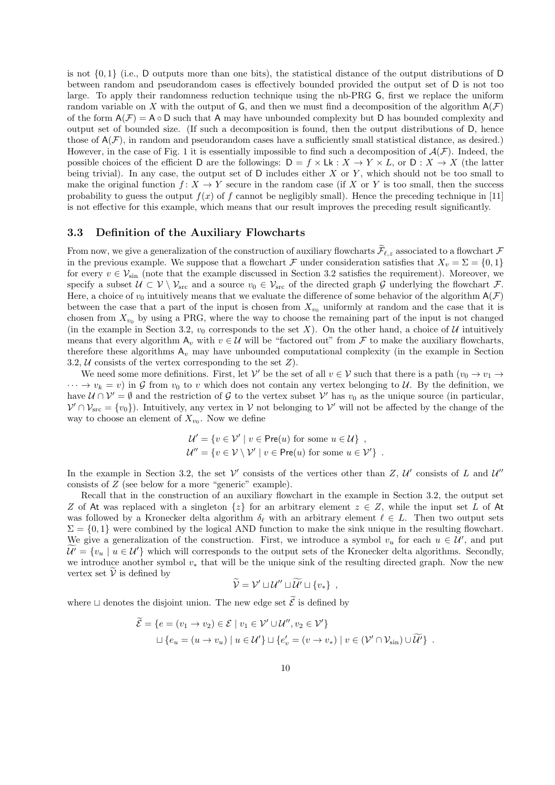is not *{*0*,* 1*}* (i.e., D outputs more than one bits), the statistical distance of the output distributions of D between random and pseudorandom cases is effectively bounded provided the output set of D is not too large. To apply their randomness reduction technique using the nb-PRG G, first we replace the uniform random variable on X with the output of  $\mathsf{G}$ , and then we must find a decomposition of the algorithm  $\mathsf{A}(\mathcal{F})$ of the form A(*F*) = A *◦* D such that A may have unbounded complexity but D has bounded complexity and output set of bounded size. (If such a decomposition is found, then the output distributions of D, hence those of  $A(\mathcal{F})$ , in random and pseudorandom cases have a sufficiently small statistical distance, as desired.) However, in the case of Fig. 1 it is essentially impossible to find such a decomposition of  $\mathcal{A}(\mathcal{F})$ . Indeed, the possible choices of the efficient D are the followings:  $D = f \times L$ **k** :  $X \to Y \times L$ , or  $D : X \to X$  (the latter being trivial). In any case, the output set of D includes either *X* or *Y* , which should not be too small to make the original function  $f: X \to Y$  secure in the random case (if X or Y is too small, then the success probability to guess the output  $f(x)$  of  $f$  cannot be negligibly small). Hence the preceding technique in [11] is not effective for this example, which means that our result improves the preceding result significantly.

### **3.3 Definition of the Auxiliary Flowcharts**

From now, we give a generalization of the construction of auxiliary flowcharts  $\widetilde{\mathcal{F}}_{\ell,z}$  associated to a flowchart  $\mathcal F$ in the previous example. We suppose that a flowchart *F* under consideration satisfies that  $X_v = \Sigma = \{0, 1\}$ for every  $v \in \mathcal{V}_{\text{sin}}$  (note that the example discussed in Section 3.2 satisfies the requirement). Moreover, we specify a subset  $U \subset V \setminus V_{\text{src}}$  and a source  $v_0 \in V_{\text{src}}$  of the directed graph *G* underlying the flowchart *F*. Here, a choice of  $v_0$  intuitively means that we evaluate the difference of some behavior of the algorithm  $A(F)$ between the case that a part of the input is chosen from  $X_{v_0}$  uniformly at random and the case that it is chosen from  $X_{v_0}$  by using a PRG, where the way to choose the remaining part of the input is not changed (in the example in Section 3.2,  $v_0$  corresponds to the set X). On the other hand, a choice of *U* intuitively means that every algorithm  $A_v$  with  $v \in \mathcal{U}$  will be "factored out" from  $\mathcal F$  to make the auxiliary flowcharts, therefore these algorithms  $A_v$  may have unbounded computational complexity (in the example in Section 3.2, *U* consists of the vertex corresponding to the set *Z*).

We need some more definitions. First, let  $V'$  be the set of all  $v \in V$  such that there is a path  $(v_0 \to v_1 \to v_2 \to v_1 \to v_2 \to v_2 \to v_1 \to v_2 \to v_2 \to v_2 \to v_1 \to v_2 \to v_2 \to v_2 \to v_1 \to v_2 \to v_2 \to v_2 \to v_2 \to v_1 \to v_2 \to v_2 \to v_2 \to v_1 \to v_$  $\cdots \rightarrow v_k = v$  in G from  $v_0$  to *v* which does not contain any vertex belonging to U. By the definition, we have  $U \cap V' = \emptyset$  and the restriction of  $\mathcal G$  to the vertex subset  $V'$  has  $v_0$  as the unique source (in particular,  $V' \cap V_{\text{src}} = \{v_0\}$ . Intuitively, any vertex in *V* not belonging to *V'* will not be affected by the change of the way to choose an element of  $X_{v_0}$ . Now we define

$$
\mathcal{U}' = \{ v \in \mathcal{V}' \mid v \in \text{Pre}(u) \text{ for some } u \in \mathcal{U} \},
$$
  

$$
\mathcal{U}'' = \{ v \in \mathcal{V} \setminus \mathcal{V}' \mid v \in \text{Pre}(u) \text{ for some } u \in \mathcal{V}' \}.
$$

In the example in Section 3.2, the set  $V'$  consists of the vertices other than  $Z, U'$  consists of  $L$  and  $U''$ consists of *Z* (see below for a more "generic" example).

Recall that in the construction of an auxiliary flowchart in the example in Section 3.2, the output set *Z* of At was replaced with a singleton  $\{z\}$  for an arbitrary element  $z \in Z$ , while the input set *L* of At was followed by a Kronecker delta algorithm  $\delta_{\ell}$  with an arbitrary element  $\ell \in L$ . Then two output sets  $\Sigma = \{0,1\}$  were combined by the logical AND function to make the sink unique in the resulting flowchart. We give a generalization of the construction. First, we introduce a symbol  $v_u$  for each  $u \in \mathcal{U}'$ , and put  $U' = \{v_u \mid u \in U'\}$  which will corresponds to the output sets of the Kronecker delta algorithms. Secondly, we introduce another symbol *v<sup>∗</sup>* that will be the unique sink of the resulting directed graph. Now the new vertex set  $V$  is defined by

$$
\widetilde{\mathcal{V}} = \mathcal{V}' \sqcup \mathcal{U}'' \sqcup \widetilde{\mathcal{U}'} \sqcup \{v_*\} ,
$$

where  $\Box$  denotes the disjoint union. The new edge set  $\widetilde{\mathcal{E}}$  is defined by

$$
\widetilde{\mathcal{E}} = \{ e = (v_1 \to v_2) \in \mathcal{E} \mid v_1 \in \mathcal{V}' \cup \mathcal{U}'', v_2 \in \mathcal{V}' \}
$$
  

$$
\Box \{ e_u = (u \to v_u) \mid u \in \mathcal{U}' \} \Box \{ e'_v = (v \to v_*) \mid v \in (\mathcal{V}' \cap \mathcal{V}_{\sin}) \cup \widetilde{\mathcal{U}'} \} .
$$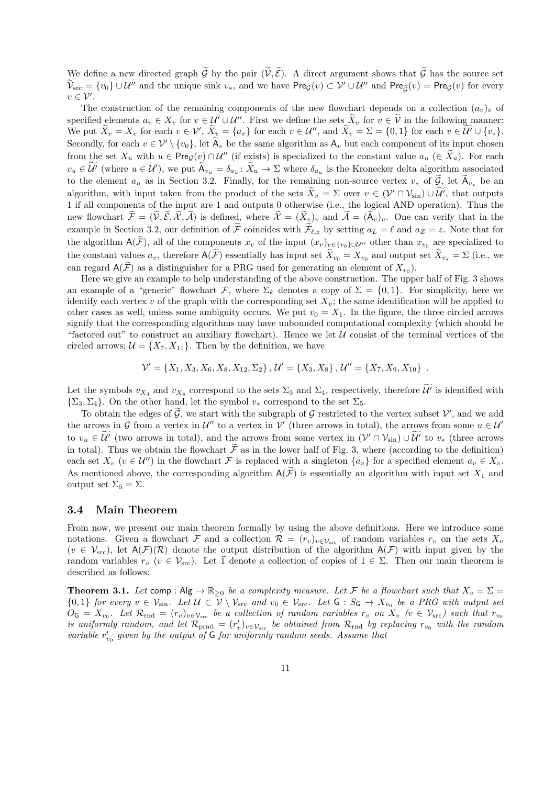We define a new directed graph  $\widetilde{\mathcal{G}}$  by the pair  $(\widetilde{\mathcal{V}}, \widetilde{\mathcal{E}})$ . A direct argument shows that  $\widetilde{\mathcal{G}}$  has the source set  $\widetilde{\mathcal{V}}_{\rm src} = \{v_0\} \cup \mathcal{U}''$  and the unique sink  $v_*$ , and we have  $\mathsf{Pre}_{\mathcal{G}}(v) \subset \mathcal{V}' \cup \mathcal{U}''$  and  $\mathsf{Pre}_{\widetilde{\mathcal{G}}}(v) = \mathsf{Pre}_{\mathcal{G}}(v)$  for every *v ∈ V′* .

The construction of the remaining components of the new flowchart depends on a collection  $(a_v)_v$  of specified elements  $a_v \in X_v$  for  $v \in \mathcal{U}' \cup \mathcal{U}''$ . First we define the sets  $\widetilde{X}_v$  for  $v \in \widetilde{\mathcal{V}}$  in the following manner: We put  $\widetilde{X}_v = X_v$  for each  $v \in \mathcal{V}'$ ,  $\widetilde{X}_v = \{a_v\}$  for each  $v \in \mathcal{U}''$ , and  $\widetilde{X}_v = \Sigma = \{0,1\}$  for each  $v \in \widetilde{\mathcal{U}'} \cup \{v_*\}.$ Secondly, for each  $v \in V' \setminus \{v_0\}$ , let  $A_v$  be the same algorithm as  $A_v$  but each component of its input chosen from the set  $X_u$  with  $u \in \text{Pre}_{\mathcal{G}}(v) \cap \mathcal{U}''$  (if exists) is specialized to the constant value  $a_u \in \tilde{X}_u$ ). For each  $v_u \in \widetilde{\mathcal{U}'}$  (where  $u \in \mathcal{U}'$ ), we put  $\widetilde{A}_{v_u} = \delta_{a_u} : \widetilde{X}_u \to \Sigma$  where  $\delta_{a_u}$  is the Kronecker delta algorithm associated to the element  $a_u$  as in Section 3.2. Finally, for the remaining non-source vertex  $v_*$  of  $\widetilde{G}$ , let  $\widetilde{A}_{v_*}$  be an algorithm, with input taken from the product of the sets  $\tilde{X}_v = \Sigma$  over  $v \in (\mathcal{V}' \cap \mathcal{V}_{\sin}) \cup \mathcal{U}'$ , that outputs 1 if all components of the input are 1 and outputs 0 otherwise (i.e., the logical AND operation). Thus the new flowchart  $\widetilde{\mathcal{F}} = (\widetilde{\mathcal{V}}, \widetilde{\mathcal{E}}, \widetilde{\mathcal{X}}, \widetilde{\mathcal{A}})$  is defined, where  $\widetilde{\mathcal{X}} = (\widetilde{X}_v)_v$  and  $\widetilde{\mathcal{A}} = (\widetilde{A}_v)_v$ . One can verify that in the example in Section 3.2, our definition of  $\widetilde{\mathcal{F}}$  coincides with  $\widetilde{\mathcal{F}}_{\ell,z}$  by setting  $a_L = \ell$  and  $a_Z = z$ . Note that for the algorithm  $A(\tilde{\mathcal{F}})$ , all of the components  $x_v$  of the input  $(x_v)_{v \in \{v_0\} \cup \mathcal{U}'}$  other than  $x_{v_0}$  are specialized to the constant values  $a_v$ , therefore  $A(\tilde{F})$  essentially has input set  $\tilde{X}_{v_0} = X_{v_0}$  and output set  $\tilde{X}_{v_*} = \Sigma$  (i.e., we can regard  $A(F)$  as a distinguisher for a PRG used for generating an element of  $X_{v_0}$ ).

Here we give an example to help understanding of the above construction. The upper half of Fig. 3 shows an example of a "generic" flowchart *F*, where  $\Sigma_k$  denotes a copy of  $\Sigma = \{0,1\}$ . For simplicity, here we identify each vertex *v* of the graph with the corresponding set  $X<sub>v</sub>$ ; the same identification will be applied to other cases as well, unless some ambiguity occurs. We put  $v_0 = X_1$ . In the figure, the three circled arrows signify that the corresponding algorithms may have unbounded computational complexity (which should be "factored out" to construct an auxiliary flowchart). Hence we let  $U$  consist of the terminal vertices of the circled arrows;  $\mathcal{U} = \{X_7, X_{11}\}.$  Then by the definition, we have

$$
\mathcal{V}' = \{X_1, X_3, X_6, X_8, X_{12}, \Sigma_2\}, \mathcal{U}' = \{X_3, X_8\}, \mathcal{U}'' = \{X_7, X_9, X_{10}\}.
$$

Let the symbols  $v_{X_3}$  and  $v_{X_8}$  correspond to the sets  $\Sigma_3$  and  $\Sigma_4$ , respectively, therefore  $\mathcal{U}'$  is identified with  ${\Sigma_3, \Sigma_4}$ . On the other hand, let the symbol  $v_*$  correspond to the set  $\Sigma_5$ .

To obtain the edges of  $\mathcal{G}$ , we start with the subgraph of  $\mathcal{G}$  restricted to the vertex subset  $\mathcal{V}'$ , and we add the arrows in  $\mathcal G$  from a vertex in  $\mathcal U''$  to a vertex in  $\mathcal V'$  (three arrows in total), the arrows from some  $u \in \mathcal U'$ to  $v_u \in \mathcal{U}'$  (two arrows in total), and the arrows from some vertex in  $(\mathcal{V}' \cap \mathcal{V}_{\sin}) \cup \mathcal{U}'$  to  $v_*$  (three arrows in total). Thus we obtain the flowchart  $\widetilde{\mathcal{F}}$  as in the lower half of Fig. 3, where (according to the definition) each set  $X_v$  ( $v \in \mathcal{U}''$ ) in the flowchart *F* is replaced with a singleton  $\{a_v\}$  for a specified element  $a_v \in X_v$ . As mentioned above, the corresponding algorithm  $A(F)$  is essentially an algorithm with input set  $X_1$  and output set  $\Sigma_5 = \Sigma$ .

#### **3.4 Main Theorem**

From now, we present our main theorem formally by using the above definitions. Here we introduce some notations. Given a flowchart *F* and a collection  $\mathcal{R} = (r_v)_{v \in \mathcal{V}_{src}}$  of random variables  $r_v$  on the sets  $X_v$  $(v \in V_{\rm src})$ , let  $A(F)(R)$  denote the output distribution of the algorithm  $A(F)$  with input given by the random variables  $r_v$  ( $v \in V_{\rm src}$ ). Let 1 denote a collection of copies of  $1 \in \Sigma$ . Then our main theorem is described as follows:

**Theorem 3.1.** *Let* comp : Alg  $\rightarrow \mathbb{R}_{\geq 0}$  *be a complexity measure. Let F be a flowchart such that*  $X_v = \Sigma$  = *{*0*,* 1*} for every v* ∈  $V_{\rm sin}$ *. Let U* ⊂  $V \setminus V_{\rm src}$  *and*  $v_0 \in V_{\rm src}$ *. Let* **G** :  $S$ **G**  $\rightarrow X_{v_0}$  *be a PRG with output set*  $O_{\mathsf{G}} = X_{v_0}$ . Let  $\mathcal{R}_{\text{rnd}} = (r_v)_{v \in \mathcal{V}_{\text{src}}}$  be a collection of random variables  $r_v$  on  $X_v$  ( $v \in \mathcal{V}_{\text{src}}$ ) such that  $r_{v_0}$ *is uniformly random, and let*  $\mathcal{R}_{prnd} = (r'_v)_{v \in \mathcal{V}_{src}}$  *be obtained from*  $\mathcal{R}_{rnd}$  *by replacing*  $r_{v_0}$  *with the random variable*  $r'_{v_0}$  given by the output of G for uniformly random seeds. Assume that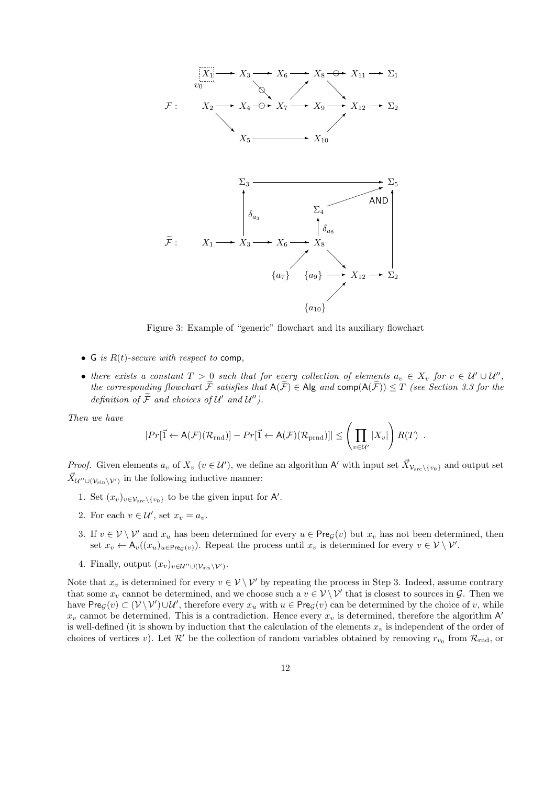

Figure 3: Example of "generic" flowchart and its auxiliary flowchart

- *•* G *is R*(*t*)*-secure with respect to* comp*,*
- there exists a constant  $T > 0$  such that for every collection of elements  $a_v \in X_v$  for  $v \in U' \cup U''$ , *the corresponding flowchart*  $\widetilde{\mathcal{F}}$  *satisfies that*  $A(\widetilde{\mathcal{F}}) \in Alg$  *and*  $comp(A(\widetilde{\mathcal{F}})) \leq T$  *(see Section 3.3 for the definition of*  $\overline{\mathcal{F}}$  *and choices of*  $\mathcal{U}'$  *and*  $\mathcal{U}''$ *)*.

*Then we have*

$$
|Pr[\vec{1} \leftarrow A(\mathcal{F})(\mathcal{R}_{\text{rnd}})] - Pr[\vec{1} \leftarrow A(\mathcal{F})(\mathcal{R}_{\text{prnd}})]| \leq \left(\prod_{v \in \mathcal{U}'} |X_v|\right) R(T) .
$$

*Proof.* Given elements  $a_v$  of  $X_v$  ( $v \in \mathcal{U}'$ ), we define an algorithm A' with input set  $\vec{X}_{\mathcal{V}_{\text{src}}\setminus{\{v_0\}}}$  and output set  $\vec{X}_{\mathcal{U}''\cup(\mathcal{V}_{\sin} \setminus \mathcal{V}')}$  in the following inductive manner:

- 1. Set  $(x_v)_{v \in \mathcal{V}_{src} \setminus \{v_0\}}$  to be the given input for A'.
- 2. For each  $v \in \mathcal{U}'$ , set  $x_v = a_v$ .
- 3. If  $v \in V \setminus V'$  and  $x_u$  has been determined for every  $u \in \text{Pre}_{\mathcal{G}}(v)$  but  $x_v$  has not been determined, then set  $x_v \leftarrow A_v((x_u)_{u \in \text{Pre}_{\mathcal{G}}(v)})$ . Repeat the process until  $x_v$  is determined for every  $v \in \mathcal{V} \setminus \mathcal{V}'$ .
- 4. Finally, output  $(x_v)_{v \in \mathcal{U}'' \cup (\mathcal{V}_{\sin} \setminus \mathcal{V}')}$ .

Note that  $x_v$  is determined for every  $v \in V \setminus V'$  by repeating the process in Step 3. Indeed, assume contrary that some  $x_v$  cannot be determined, and we choose such a  $v \in V \setminus V'$  that is closest to sources in  $\mathcal{G}$ . Then we have  $\text{Pre}_{\mathcal{G}}(v) \subset (\mathcal{V} \setminus \mathcal{V}') \cup \mathcal{U}'$ , therefore every  $x_u$  with  $u \in \text{Pre}_{\mathcal{G}}(v)$  can be determined by the choice of *v*, while *x<sup>v</sup>* cannot be determined. This is a contradiction. Hence every *x<sup>v</sup>* is determined, therefore the algorithm A *′* is well-defined (it is shown by induction that the calculation of the elements *x<sup>v</sup>* is independent of the order of choices of vertices *v*). Let  $\mathcal{R}'$  be the collection of random variables obtained by removing  $r_{v_0}$  from  $\mathcal{R}_{\text{rnd}}$ , or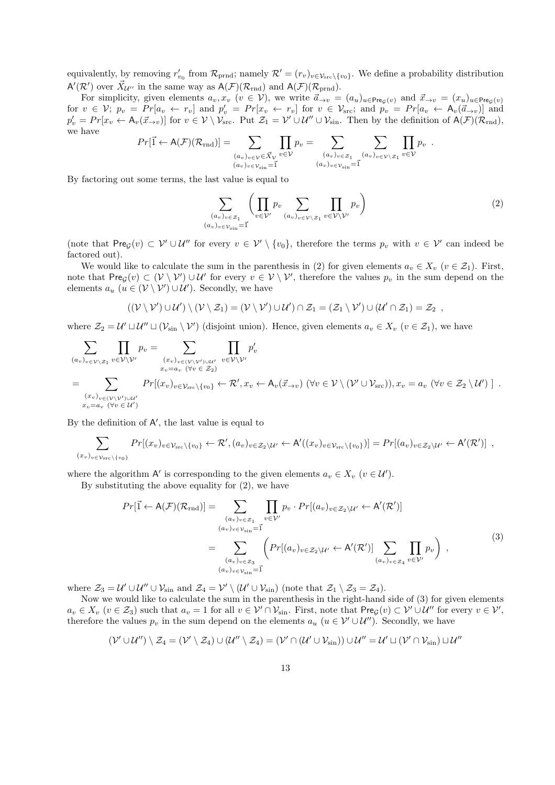equivalently, by removing  $r'_{v_0}$  from  $\mathcal{R}_{prnd}$ ; namely  $\mathcal{R}' = (r_v)_{v \in \mathcal{V}_{src} \setminus \{v_0\}}$ . We define a probability distribution  $A'(\mathcal{R}')$  over  $\vec{X}_{\mathcal{U}''}$  in the same way as  $A(\mathcal{F})(\mathcal{R}_{\text{rnd}})$  and  $A(\mathcal{F})(\mathcal{R}_{\text{prnd}})$ .

For simplicity, given elements  $a_v, x_v$   $(v \in V)$ , we write  $\vec{a}_{\rightarrow v} = (a_u)_{u \in \text{Pre}_{\mathcal{G}}(v)}$  and  $\vec{x}_{\rightarrow v} = (x_u)_{u \in \text{Pre}_{\mathcal{G}}(v)}$ for  $v \in \mathcal{V}$ ;  $p_v = Pr[a_v \leftarrow r_v]$  and  $p'_v = Pr[x_v \leftarrow r_v]$  for  $v \in \mathcal{V}_{\rm src}$ ; and  $p_v = Pr[a_v \leftarrow A_v(\vec{a}_{\rightarrow v})]$  and  $p'_v = Pr[x_v \leftarrow A_v(\vec{x}_{\rightarrow v})]$  for  $v \in V \setminus \mathcal{V}_{\rm src}$ . Put  $\mathcal{Z}_1 = \mathcal{V}' \cup \mathcal{U}'' \cup \mathcal{V}_{\rm sin}$ . Then by the definition of  $A(\mathcal{F})(\mathcal{R}_{\rm rnd})$ , we have

$$
Pr[\vec{1} \leftarrow A(\mathcal{F})(\mathcal{R}_{rnd})] = \sum_{\substack{(a_v)_{v \in \mathcal{V}} \in \vec{X}_{\mathcal{V}} \\ (a_v)_{v \in \mathcal{V}_{sin}} = \vec{1}}} \prod_{v \in \mathcal{V}} p_v = \sum_{\substack{(a_v)_{v \in \mathcal{Z}_1} \\ (a_v)_{v \in \mathcal{V}_{sin}} = \vec{1}}} \sum_{\substack{(a_v)_{v \in \mathcal{V}} \in \mathcal{Z}_1}} \prod_{v \in \mathcal{V}} p_v.
$$

By factoring out some terms, the last value is equal to

$$
\sum_{\substack{(a_v)_{v \in \mathcal{Z}_1} \ (a_v)_{v \in \mathcal{V}_{\text{sin}}}} \left( \prod_{v \in \mathcal{V}'} p_v \sum_{\substack{(a_v)_{v \in \mathcal{V} \setminus \mathcal{Z}_1}} \prod_{v \in \mathcal{V} \setminus \mathcal{V}'} p_v \right)} (2)
$$

(note that  $\text{Pre}_{\mathcal{G}}(v) \subset \mathcal{V}' \cup \mathcal{U}''$  for every  $v \in \mathcal{V}' \setminus \{v_0\}$ , therefore the terms  $p_v$  with  $v \in \mathcal{V}'$  can indeed be factored out).

We would like to calculate the sum in the parenthesis in (2) for given elements  $a_v \in X_v$  ( $v \in \mathcal{Z}_1$ ). First, note that  $\textsf{Pre}_\mathcal{G}(v) \subset (\mathcal{V} \setminus \mathcal{V}') \cup \mathcal{U}'$  for every  $v \in \mathcal{V} \setminus \mathcal{V}'$ , therefore the values  $p_v$  in the sum depend on the elements  $a_u$   $(u \in (\mathcal{V} \setminus \mathcal{V}') \cup \mathcal{U}'$ . Secondly, we have

$$
((\mathcal{V}\setminus \mathcal{V}')\cup \mathcal{U}')\setminus (\mathcal{V}\setminus \mathcal{Z}_1)=(\mathcal{V}\setminus \mathcal{V}')\cup \mathcal{U}')\cap \mathcal{Z}_1=(\mathcal{Z}_1\setminus \mathcal{V}')\cup (\mathcal{U}'\cap \mathcal{Z}_1)=\mathcal{Z}_2,
$$

*where*  $\mathcal{Z}_2 = \mathcal{U}' \sqcup \mathcal{U}'' \sqcup (\mathcal{V}_{\sin} \setminus \mathcal{V}')$  (disjoint union). Hence, given elements  $a_v \in X_v$  ( $v \in \mathcal{Z}_1$ ), we have

$$
\sum_{(a_v)_{v \in V \setminus Z_1}} \prod_{v \in V \setminus V'} p_v = \sum_{(x_v)_{v \in (V \setminus V') \cup U'}} \prod_{v \in V \setminus V'} p'_v
$$
\n
$$
= \sum_{(x_v)_{v \in (V \setminus V') \cup U'}} Pr[(x_v)_{v \in V_{src} \setminus \{v_0\}} \leftarrow \mathcal{R}', x_v \leftarrow A_v(\vec{x}_{\to v}) \ (\forall v \in V \setminus (\mathcal{V}' \cup \mathcal{V}_{src})), x_v = a_v \ (\forall v \in \mathcal{Z}_2 \setminus \mathcal{U}') \ .
$$
\n
$$
x_v = a_v \ (\forall v \in \mathcal{U}')
$$

By the definition of A *′* , the last value is equal to

$$
\sum_{(x_v)_{v \in \mathcal{V}_{\text{src}}\backslash\{v_0\}}} Pr[(x_v)_{v \in \mathcal{V}_{\text{src}}\backslash\{v_0\}} \leftarrow \mathcal{R}', (a_v)_{v \in \mathcal{Z}_2\backslash\mathcal{U}'} \leftarrow A'((x_v)_{v \in \mathcal{V}_{\text{src}}\backslash\{v_0\}})] = Pr[(a_v)_{v \in \mathcal{Z}_2\backslash\mathcal{U}'} \leftarrow A'(\mathcal{R}')] ,
$$

where the algorithm  $A'$  is corresponding to the given elements  $a_v \in X_v$  ( $v \in U'$ ). By substituting the above equality for (2), we have

$$
Pr[\vec{1} \leftarrow A(\mathcal{F})(\mathcal{R}_{rnd})] = \sum_{\substack{(a_v)_{v \in \mathcal{Z}_1} \ (a_v)_{v \in \mathcal{V}_{sin} = \vec{1} \\ (a_v)_{v \in \mathcal{V}_{sin} = \vec{1}}}} \prod_{v \in \mathcal{V}'} p_v \cdot Pr[(a_v)_{v \in \mathcal{Z}_2 \setminus \mathcal{U}'} \leftarrow A'(\mathcal{R}')] \sum_{\substack{(a_v)_{v \in \mathcal{Z}_3} \ (a_v)_{v \in \mathcal{V}_{sin} = \vec{1} }} \prod_{\substack{(a_v)_{v \in \mathcal{V}_{sin} = \vec{1} }}(a_v)_{v \in \mathcal{V}_{sin} = \vec{1} }} (Pr[(a_v)_{v \in \mathcal{Z}_2 \setminus \mathcal{U}'} \leftarrow A'(\mathcal{R}')] \sum_{\substack{(a_v)_{v \in \mathcal{Z}_4} \ v \in \mathcal{V}'}(a_v)_{v \in \mathcal{V}_{sin} = \vec{1} }} (3)
$$
\n(3)

where  $\mathcal{Z}_3 = \mathcal{U}' \cup \mathcal{U}'' \cup \mathcal{V}_{\sin}$  and  $\mathcal{Z}_4 = \mathcal{V}' \setminus (\mathcal{U}' \cup \mathcal{V}_{\sin})$  (note that  $\mathcal{Z}_1 \setminus \mathcal{Z}_3 = \mathcal{Z}_4$ ).

Now we would like to calculate the sum in the parenthesis in the right-hand side of (3) for given elements  $a_v \in X_v$   $(v \in \mathcal{Z}_3)$  such that  $a_v = 1$  for all  $v \in \mathcal{V}' \cap \mathcal{V}_{\sin}$ . First, note that  $\mathsf{Pre}_{\mathcal{G}}(v) \subset \mathcal{V}' \cup \mathcal{U}''$  for every  $v \in \mathcal{V}'$ , therefore the values  $p_v$  in the sum depend on the elements  $a_u$  ( $u \in V' \cup U''$ ). Secondly, we have

$$
(\mathcal{V}' \cup \mathcal{U}'') \setminus \mathcal{Z}_4 = (\mathcal{V}' \setminus \mathcal{Z}_4) \cup (\mathcal{U}'' \setminus \mathcal{Z}_4) = (\mathcal{V}' \cap (\mathcal{U}' \cup \mathcal{V}_\text{sin})) \cup \mathcal{U}'' = \mathcal{U}' \sqcup (\mathcal{V}' \cap \mathcal{V}_\text{sin}) \sqcup \mathcal{U}''
$$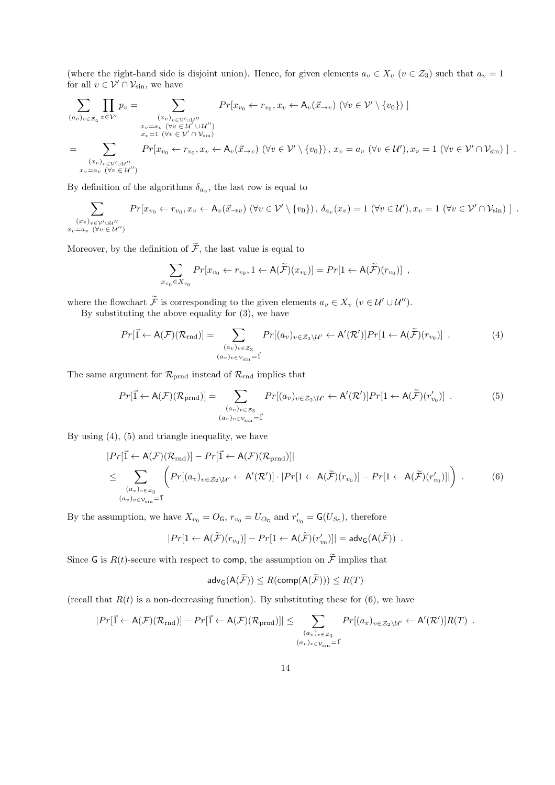(where the right-hand side is disjoint union). Hence, for given elements  $a_v \in X_v$  ( $v \in \mathcal{Z}_3$ ) such that  $a_v = 1$ for all  $v \in \mathcal{V}' \cap \mathcal{V}_{\sin}$ , we have

$$
\sum_{(a_v)_{v \in \mathcal{Z}_4}} \prod_{v \in \mathcal{V}'} p_v = \sum_{\substack{(x_v)_{v \in \mathcal{V}' \cup \mathcal{U}''} \\ (x_v)_{v \in \mathcal{V}' \cup \mathcal{U}''} \\ x_v = 1 \ (\forall v \in \mathcal{U}' \cup \mathcal{U}'' \ \forall v \in \mathcal{U}' \cup \mathcal{V}^{(n)} \}} P_r[x_{v_0} \leftarrow r_{v_0}, x_v \leftarrow A_v(\vec{x}_{\rightarrow v}) \ (\forall v \in \mathcal{V}' \setminus \{v_0\}) \ ]
$$
\n
$$
= \sum_{\substack{(x_v)_{v \in \mathcal{V}' \cup \mathcal{U}''} \\ x_v = a_v \ (\forall v \in \mathcal{U}' \cup \mathcal{V}^{(n)} \ \forall v \in \mathcal{V} \ \forall v \in \mathcal{V}' \ \forall v \in \mathcal{V}' \ \forall v \in \mathcal{V}' \ \forall v \in \mathcal{V} \ \forall v \in \mathcal{V} \ \forall v \in \mathcal{V} \ \forall v \in \mathcal{V} \ \forall v \in \mathcal{V} \ \forall v \in \mathcal{V} \ \forall v \in \mathcal{V} \ \forall v \in \mathcal{V} \ \forall v \in \mathcal{V} \ \forall v \in \mathcal{V} \ \forall v \in \mathcal{V} \ \forall v \in \mathcal{V} \ \forall v \in \mathcal{V} \ \forall v \in \mathcal{V} \ \forall v \in \mathcal{V} \ \forall v \in \mathcal{V} \ \forall v \in \mathcal{V} \ \forall v \in \mathcal{V} \ \forall v \in \mathcal{V} \ \forall v \in \mathcal{V} \ \forall v \in \mathcal{V} \ \forall v \in \mathcal{V} \ \forall v \in \mathcal{V} \ \forall v \in \mathcal{V} \ \forall v \in \mathcal{V} \ \forall v \in \mathcal{V} \ \forall v \in \mathcal{V} \ \forall v \in \mathcal{V} \ \forall v \in \mathcal{V} \ \forall v \in \mathcal{V} \ \forall v \in \mathcal{V} \ \forall v \in \mathcal{V} \ \forall v \in \mathcal{V} \ \forall v \in \mathcal{V} \ \forall v \in \mathcal{V} \ \forall v \in \mathcal{V} \ \forall v \in \mathcal{
$$

By definition of the algorithms  $\delta_{a_v}$ , the last row is equal to

$$
\sum_{\substack{(x_v)_{v \in \mathcal{V}' \cup \mathcal{U}''} \\ x_v = a_v \ (\forall v \in \mathcal{U}'')} } Pr[x_{v_0} \leftarrow r_{v_0}, x_v \leftarrow A_v(\vec{x}_{\rightarrow v}) \ (\forall v \in \mathcal{V}' \setminus \{v_0\}), \ \delta_{a_v}(x_v) = 1 \ (\forall v \in \mathcal{U}'), x_v = 1 \ (\forall v \in \mathcal{V}' \cap \mathcal{V}_{\sin}) \ .
$$

Moreover, by the definition of  $\widetilde{\mathcal{F}}$ , the last value is equal to

$$
\sum_{x_{v_0}\in X_{v_0}} Pr[x_{v_0} \leftarrow r_{v_0}, 1 \leftarrow A(\widetilde{\mathcal{F}})(x_{v_0})] = Pr[1 \leftarrow A(\widetilde{\mathcal{F}})(r_{v_0})],
$$

where the flowchart  $\widetilde{\mathcal{F}}$  is corresponding to the given elements  $a_v \in X_v$  ( $v \in \mathcal{U}' \cup \mathcal{U}''$ ).

By substituting the above equality for  $(3)$ , we have

$$
Pr[\vec{1} \leftarrow A(\mathcal{F})(\mathcal{R}_{rnd})] = \sum_{\substack{(a_v)_{v \in \mathcal{Z}_3} \\ (a_v)_{v \in \mathcal{V}_{sin}} = \vec{1}}} Pr[(a_v)_{v \in \mathcal{Z}_2 \setminus \mathcal{U}'} \leftarrow A'(\mathcal{R}')] Pr[1 \leftarrow A(\widetilde{\mathcal{F}})(r_{v_0})] .
$$
 (4)

The same argument for  $\mathcal{R}_{\text{prnd}}$  instead of  $\mathcal{R}_{\text{rnd}}$  implies that

$$
Pr[\vec{1} \leftarrow A(\mathcal{F})(\mathcal{R}_{prnd})] = \sum_{\substack{(a_v)_{v \in \mathcal{Z}_3} \\ (a_v)_{v \in \mathcal{V}_{\sin}} = \vec{1}}} Pr[(a_v)_{v \in \mathcal{Z}_2 \setminus \mathcal{U}'} \leftarrow A'(\mathcal{R}')] Pr[1 \leftarrow A(\widetilde{\mathcal{F}})(r'_{v_0})].
$$
\n
$$
(5)
$$

By using (4), (5) and triangle inequality, we have

$$
|Pr[\vec{1} \leftarrow A(\mathcal{F})(\mathcal{R}_{\text{rnd}})] - Pr[\vec{1} \leftarrow A(\mathcal{F})(\mathcal{R}_{\text{prnd}})]|
$$
  
\n
$$
\leq \sum_{\substack{(a_v)_{v \in \mathcal{Z}_3} \\ (a_v)_{v \in \mathcal{V}_{\text{sin}} = \vec{1}}}} \left( Pr[(a_v)_{v \in \mathcal{Z}_2 \setminus \mathcal{U}'} \leftarrow A'(\mathcal{R}')] \cdot |Pr[1 \leftarrow A(\widetilde{\mathcal{F}})(r_{v_0})] - Pr[1 \leftarrow A(\widetilde{\mathcal{F}})(r'_{v_0})]| \right) .
$$
 (6)

By the assumption, we have  $X_{v_0} = O_G$ ,  $r_{v_0} = U_{O_G}$  and  $r'_{v_0} = G(U_{S_G})$ , therefore

$$
|Pr[1 \leftarrow A(\widetilde{\mathcal{F}})(r_{v_0})] - Pr[1 \leftarrow A(\widetilde{\mathcal{F}})(r'_{v_0})]| = \mathsf{adv}_{\mathsf{G}}(A(\widetilde{\mathcal{F}}))\enspace.
$$

Since G is  $R(t)$ -secure with respect to comp, the assumption on  $\widetilde{\mathcal{F}}$  implies that

$$
\mathsf{adv}_{\mathsf{G}}(\mathsf{A}(\widetilde{\mathcal{F}})) \leq R(\mathsf{comp}(\mathsf{A}(\widetilde{\mathcal{F}}))) \leq R(T)
$$

(recall that  $R(t)$  is a non-decreasing function). By substituting these for (6), we have

$$
|Pr[\vec{1} \leftarrow A(\mathcal{F})(\mathcal{R}_{\text{rnd}})] - Pr[\vec{1} \leftarrow A(\mathcal{F})(\mathcal{R}_{\text{prnd}})]| \leq \sum_{\substack{(a_v)_{v \in \mathcal{Z}_3} \\ (a_v)_{v \in \mathcal{V}_{\text{sin}}} = \vec{1}}} Pr[(a_v)_{v \in \mathcal{Z}_2 \setminus \mathcal{U}'} \leftarrow A'(\mathcal{R}')]R(T).
$$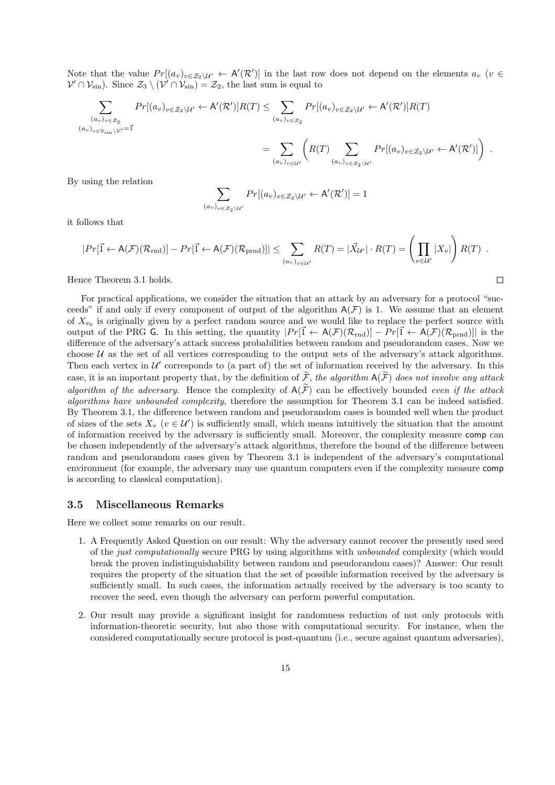Note that the value  $Pr[(a_v)_{v \in \mathcal{Z}_2 \setminus \mathcal{U}'} \leftarrow A'(\mathcal{R}')]$  in the last row does not depend on the elements  $a_v$  ( $v \in \mathcal{Z}_2$  $V' \cap V_{\sin}$ ). Since  $\mathcal{Z}_3 \setminus (V' \cap V_{\sin}) = \mathcal{Z}_2$ , the last sum is equal to

$$
\sum_{\substack{(a_v)_{v \in \mathcal{Z}_2} \ (a_v)_{v \in \mathcal{Z}_1 \setminus \mathcal{U}'}}} Pr[(a_v)_{v \in \mathcal{Z}_2 \setminus \mathcal{U}'} \leftarrow A'(\mathcal{R}')]R(T) \le \sum_{(a_v)_{v \in \mathcal{Z}_2}} Pr[(a_v)_{v \in \mathcal{Z}_2 \setminus \mathcal{U}'} \leftarrow A'(\mathcal{R}')]R(T)
$$
\n
$$
= \sum_{(a_v)_{v \in \mathcal{U}'}} \left( R(T) \sum_{(a_v)_{v \in \mathcal{Z}_2 \setminus \mathcal{U}'}} Pr[(a_v)_{v \in \mathcal{Z}_2 \setminus \mathcal{U}'} \leftarrow A'(\mathcal{R}')] \right) .
$$

By using the relation

$$
\sum_{(a_v)_{v\in \mathcal{Z}_2\backslash \mathcal{U}'}} \Pr[(a_v)_{v\in \mathcal{Z}_2\backslash \mathcal{U}'} \leftarrow \mathsf{A}'(\mathcal{R}')]=1
$$

it follows that

$$
|Pr[\vec{1} \leftarrow A(\mathcal{F})(\mathcal{R}_{\text{rnd}})] - Pr[\vec{1} \leftarrow A(\mathcal{F})(\mathcal{R}_{\text{prnd}})]| \leq \sum_{(a_v)_{v \in \mathcal{U}'}} R(T) = |\vec{X}_{\mathcal{U}'}| \cdot R(T) = \left(\prod_{v \in \mathcal{U}'} |X_v|\right) R(T).
$$

 $\Box$ 

Hence Theorem 3.1 holds.

For practical applications, we consider the situation that an attack by an adversary for a protocol "succeeds" if and only if every component of output of the algorithm  $A(F)$  is 1. We assume that an element of  $X_{v_0}$  is originally given by a perfect random source and we would like to replace the perfect source with output of the PRG G. In this setting, the quantity  $|Pr[\vec{1} \leftarrow A(F)(\mathcal{R}_{rnd})] - Pr[\vec{1} \leftarrow A(F)(\mathcal{R}_{vrnd})]$  is the difference of the adversary's attack success probabilities between random and pseudorandom cases. Now we choose  $U$  as the set of all vertices corresponding to the output sets of the adversary's attack algorithms. Then each vertex in  $U'$  corresponds to (a part of) the set of information received by the adversary. In this case, it is an important property that, by the definition of  $\tilde{\mathcal{F}}$ , the algorithm  $A(\tilde{\mathcal{F}})$  does not involve any attack *algorithm of the adversary.* Hence the complexity of  $A(\widetilde{\mathcal{F}})$  can be effectively bounded *even if the attack algorithms have unbounded complexity*, therefore the assumption for Theorem 3.1 can be indeed satisfied. By Theorem 3.1, the difference between random and pseudorandom cases is bounded well when the product of sizes of the sets  $X_v$  ( $v \in U'$ ) is sufficiently small, which means intuitively the situation that the amount of information received by the adversary is sufficiently small. Moreover, the complexity measure comp can be chosen independently of the adversary's attack algorithms, therefore the bound of the difference between random and pseudorandom cases given by Theorem 3.1 is independent of the adversary's computational environment (for example, the adversary may use quantum computers even if the complexity measure comp is according to classical computation).

#### **3.5 Miscellaneous Remarks**

Here we collect some remarks on our result.

- 1. A Frequently Asked Question on our result: Why the adversary cannot recover the presently used seed of the *just computationally* secure PRG by using algorithms with *unbounded* complexity (which would break the proven indistinguishability between random and pseudorandom cases)? Answer: Our result requires the property of the situation that the set of possible information received by the adversary is sufficiently small. In such cases, the information actually received by the adversary is too scanty to recover the seed, even though the adversary can perform powerful computation.
- 2. Our result may provide a significant insight for randomness reduction of not only protocols with information-theoretic security, but also those with computational security. For instance, when the considered computationally secure protocol is post-quantum (i.e., secure against quantum adversaries),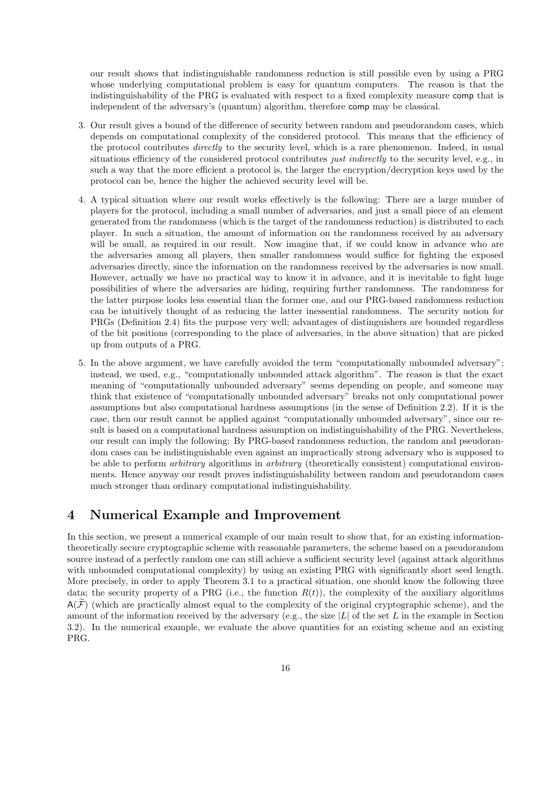our result shows that indistinguishable randomness reduction is still possible even by using a PRG whose underlying computational problem is easy for quantum computers. The reason is that the indistinguishability of the PRG is evaluated with respect to a fixed complexity measure comp that is independent of the adversary's (quantum) algorithm, therefore comp may be classical.

- 3. Our result gives a bound of the difference of security between random and pseudorandom cases, which depends on computational complexity of the considered protocol. This means that the efficiency of the protocol contributes *directly* to the security level, which is a rare phenomenon. Indeed, in usual situations efficiency of the considered protocol contributes *just indirectly* to the security level, e.g., in such a way that the more efficient a protocol is, the larger the encryption/decryption keys used by the protocol can be, hence the higher the achieved security level will be.
- 4. A typical situation where our result works effectively is the following: There are a large number of players for the protocol, including a small number of adversaries, and just a small piece of an element generated from the randomness (which is the target of the randomness reduction) is distributed to each player. In such a situation, the amount of information on the randomness received by an adversary will be small, as required in our result. Now imagine that, if we could know in advance who are the adversaries among all players, then smaller randomness would suffice for fighting the exposed adversaries directly, since the information on the randomness received by the adversaries is now small. However, actually we have no practical way to know it in advance, and it is inevitable to fight huge possibilities of where the adversaries are hiding, requiring further randomness. The randomness for the latter purpose looks less essential than the former one, and our PRG-based randomness reduction can be intuitively thought of as reducing the latter inessential randomness. The security notion for PRGs (Definition 2.4) fits the purpose very well; advantages of distinguishers are bounded regardless of the bit positions (corresponding to the place of adversaries, in the above situation) that are picked up from outputs of a PRG.
- 5. In the above argument, we have carefully avoided the term "computationally unbounded adversary"; instead, we used, e.g., "computationally unbounded attack algorithm". The reason is that the exact meaning of "computationally unbounded adversary" seems depending on people, and someone may think that existence of "computationally unbounded adversary" breaks not only computational power assumptions but also computational hardness assumptions (in the sense of Definition 2.2). If it is the case, then our result cannot be applied against "computationally unbounded adversary", since our result is based on a computational hardness assumption on indistinguishability of the PRG. Nevertheless, our result can imply the following: By PRG-based randomness reduction, the random and pseudorandom cases can be indistinguishable even against an impractically strong adversary who is supposed to be able to perform *arbitrary* algorithms in *arbitrary* (theoretically consistent) computational environments. Hence anyway our result proves indistinguishability between random and pseudorandom cases much stronger than ordinary computational indistinguishability.

### **4 Numerical Example and Improvement**

In this section, we present a numerical example of our main result to show that, for an existing informationtheoretically secure cryptographic scheme with reasonable parameters, the scheme based on a pseudorandom source instead of a perfectly random one can still achieve a sufficient security level (against attack algorithms with unbounded computational complexity) by using an existing PRG with significantly short seed length. More precisely, in order to apply Theorem 3.1 to a practical situation, one should know the following three data; the security property of a PRG (i.e., the function  $R(t)$ ), the complexity of the auxiliary algorithms  $A(F)$  (which are practically almost equal to the complexity of the original cryptographic scheme), and the amount of the information received by the adversary (e.g., the size  $|L|$  of the set  $L$  in the example in Section 3.2). In the numerical example, we evaluate the above quantities for an existing scheme and an existing PRG.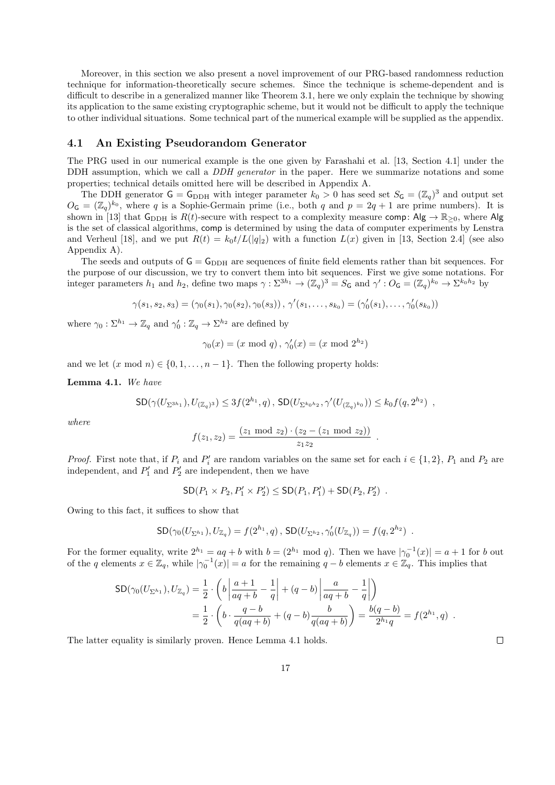Moreover, in this section we also present a novel improvement of our PRG-based randomness reduction technique for information-theoretically secure schemes. Since the technique is scheme-dependent and is difficult to describe in a generalized manner like Theorem 3.1, here we only explain the technique by showing its application to the same existing cryptographic scheme, but it would not be difficult to apply the technique to other individual situations. Some technical part of the numerical example will be supplied as the appendix.

### **4.1 An Existing Pseudorandom Generator**

The PRG used in our numerical example is the one given by Farashahi et al. [13, Section 4.1] under the DDH assumption, which we call a *DDH generator* in the paper. Here we summarize notations and some properties; technical details omitted here will be described in Appendix A.

The DDH generator  $G = G_{DDH}$  with integer parameter  $k_0 > 0$  has seed set  $S_G = (\mathbb{Z}_q)^3$  and output set  $O_{\mathsf{G}} = (\mathbb{Z}_q)^{k_0}$ , where *q* is a Sophie-Germain prime (i.e., both *q* and  $p = 2q + 1$  are prime numbers). It is shown in [13] that  $G_{\text{DDH}}$  is  $R(t)$ -secure with respect to a complexity measure comp:  $\text{Alg} \to \mathbb{R}_{\geq 0}$ , where Alg is the set of classical algorithms, comp is determined by using the data of computer experiments by Lenstra and Verheul [18], and we put  $R(t) = k_0 t / L(|q|_2)$  with a function  $L(x)$  given in [13, Section 2.4] (see also Appendix A).

The seeds and outputs of  $G = G_{\text{DDH}}$  are sequences of finite field elements rather than bit sequences. For the purpose of our discussion, we try to convert them into bit sequences. First we give some notations. For integer parameters  $h_1$  and  $h_2$ , define two maps  $\gamma : \Sigma^{3h_1} \to (\mathbb{Z}_q)^3 = S_G$  and  $\gamma' : O_G = (\mathbb{Z}_q)^{k_0} \to \Sigma^{k_0 h_2}$  by

$$
\gamma(s_1, s_2, s_3) = (\gamma_0(s_1), \gamma_0(s_2), \gamma_0(s_3)), \ \gamma'(s_1, \ldots, s_{k_0}) = (\gamma'_0(s_1), \ldots, \gamma'_0(s_{k_0}))
$$

where  $\gamma_0: \Sigma^{h_1} \to \mathbb{Z}_q$  and  $\gamma'_0: \mathbb{Z}_q \to \Sigma^{h_2}$  are defined by

$$
\gamma_0(x) = (x \mod q), \ \gamma'_0(x) = (x \mod 2^{h_2})
$$

and we let  $(x \mod n) \in \{0, 1, \ldots, n-1\}$ . Then the following property holds:

**Lemma 4.1.** *We have*

$$
\mathsf{SD}(\gamma(U_{\Sigma^{3h_1}}), U_{(\mathbb{Z}_q)^3}) \leq 3f(2^{h_1}, q), \, \mathsf{SD}(U_{\Sigma^{k_0h_2}}, \gamma'(U_{(\mathbb{Z}_q)^{k_0}})) \leq k_0 f(q, 2^{h_2}) ,
$$

*where*

$$
f(z_1, z_2) = \frac{(z_1 \mod z_2) \cdot (z_2 - (z_1 \mod z_2))}{z_1 z_2}
$$

*.*

*Proof.* First note that, if  $P_i$  and  $P'_i$  are random variables on the same set for each  $i \in \{1, 2\}$ ,  $P_1$  and  $P_2$  are independent, and  $P'_1$  and  $P'_2$  are independent, then we have

$$
SD(P_1 \times P_2, P'_1 \times P'_2) \leq SD(P_1, P'_1) + SD(P_2, P'_2) .
$$

Owing to this fact, it suffices to show that

$$
SD(\gamma_0(U_{\Sigma^{h_1}}), U_{\mathbb{Z}_q}) = f(2^{h_1}, q), SD(U_{\Sigma^{h_2}}, \gamma'_0(U_{\mathbb{Z}_q})) = f(q, 2^{h_2}) .
$$

For the former equality, write  $2^{h_1} = aq + b$  with  $b = (2^{h_1} \mod q)$ . Then we have  $|\gamma_0^{-1}(x)| = a + 1$  for *b* out of the *q* elements  $x \in \mathbb{Z}_q$ , while  $|\gamma_0^{-1}(x)| = a$  for the remaining  $q - b$  elements  $x \in \mathbb{Z}_q$ . This implies that

$$
SD(\gamma_0(U_{\Sigma^{h_1}}), U_{\mathbb{Z}_q}) = \frac{1}{2} \cdot \left(b \left| \frac{a+1}{aq+b} - \frac{1}{q} \right| + (q-b) \left| \frac{a}{aq+b} - \frac{1}{q} \right| \right)
$$
  
=  $\frac{1}{2} \cdot \left(b \cdot \frac{q-b}{q(aq+b)} + (q-b) \frac{b}{q(aq+b)} \right) = \frac{b(q-b)}{2^{h_1}q} = f(2^{h_1}, q)$ .

The latter equality is similarly proven. Hence Lemma 4.1 holds.

 $\Box$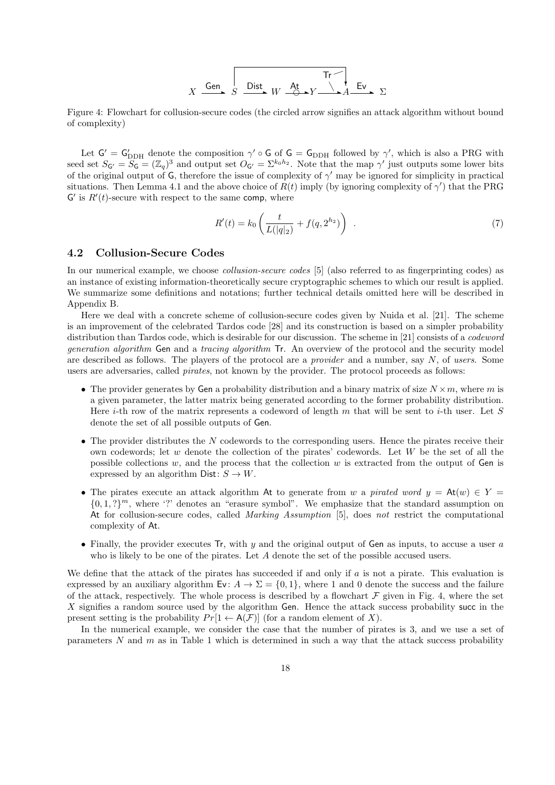$$
X \xrightarrow{\text{Gen}} S \xrightarrow{\text{Dist}} W \xrightarrow{\text{At}} Y \xrightarrow{\text{Tr}} A \xrightarrow{\text{Ev}} \Sigma
$$

Figure 4: Flowchart for collusion-secure codes (the circled arrow signifies an attack algorithm without bound of complexity)

Let  $G' = G'_{\text{DDH}}$  denote the composition  $\gamma' \circ G$  of  $G = G_{\text{DDH}}$  followed by  $\gamma'$ , which is also a PRG with seed set  $S_{\mathsf{G'}} = S_{\mathsf{G}} = (\mathbb{Z}_q)^3$  and output set  $O_{\mathsf{G'}} = \Sigma^{k_0 h_2}$ . Note that the map  $\gamma'$  just outputs some lower bits of the original output of G, therefore the issue of complexity of  $\gamma'$  may be ignored for simplicity in practical situations. Then Lemma 4.1 and the above choice of  $R(t)$  imply (by ignoring complexity of  $\gamma'$ ) that the PRG  $G'$  is  $R'(t)$ -secure with respect to the same comp, where

$$
R'(t) = k_0 \left( \frac{t}{L(|q|_2)} + f(q, 2^{h_2}) \right) \tag{7}
$$

### **4.2 Collusion-Secure Codes**

In our numerical example, we choose *collusion-secure codes* [5] (also referred to as fingerprinting codes) as an instance of existing information-theoretically secure cryptographic schemes to which our result is applied. We summarize some definitions and notations; further technical details omitted here will be described in Appendix B.

Here we deal with a concrete scheme of collusion-secure codes given by Nuida et al. [21]. The scheme is an improvement of the celebrated Tardos code [28] and its construction is based on a simpler probability distribution than Tardos code, which is desirable for our discussion. The scheme in [21] consists of a *codeword generation algorithm* Gen and a *tracing algorithm* Tr. An overview of the protocol and the security model are described as follows. The players of the protocol are a *provider* and a number, say *N*, of *users*. Some users are adversaries, called *pirates*, not known by the provider. The protocol proceeds as follows:

- The provider generates by Gen a probability distribution and a binary matrix of size  $N \times m$ , where *m* is a given parameter, the latter matrix being generated according to the former probability distribution. Here *i*-th row of the matrix represents a codeword of length *m* that will be sent to *i*-th user. Let *S* denote the set of all possible outputs of Gen.
- The provider distributes the *N* codewords to the corresponding users. Hence the pirates receive their own codewords; let *w* denote the collection of the pirates' codewords. Let *W* be the set of all the possible collections *w*, and the process that the collection *w* is extracted from the output of Gen is expressed by an algorithm  $Dist: S \to W$ .
- The pirates execute an attack algorithm At to generate from *w* a *pirated word*  $y = At(w) \in Y =$  $\{0,1,?\}$ <sup>*m*</sup>, where '?' denotes an "erasure symbol". We emphasize that the standard assumption on At for collusion-secure codes, called *Marking Assumption* [5], does *not* restrict the computational complexity of At.
- *•* Finally, the provider executes Tr, with *y* and the original output of Gen as inputs, to accuse a user *a* who is likely to be one of the pirates. Let *A* denote the set of the possible accused users.

We define that the attack of the pirates has succeeded if and only if *a* is not a pirate. This evaluation is expressed by an auxiliary algorithm Ev:  $A \rightarrow \Sigma = \{0, 1\}$ , where 1 and 0 denote the success and the failure of the attack, respectively. The whole process is described by a flowchart  $\mathcal F$  given in Fig. 4, where the set *X* signifies a random source used by the algorithm Gen. Hence the attack success probability succ in the present setting is the probability  $Pr[1 \leftarrow A(F)]$  (for a random element of *X*).

In the numerical example, we consider the case that the number of pirates is 3, and we use a set of parameters *N* and *m* as in Table 1 which is determined in such a way that the attack success probability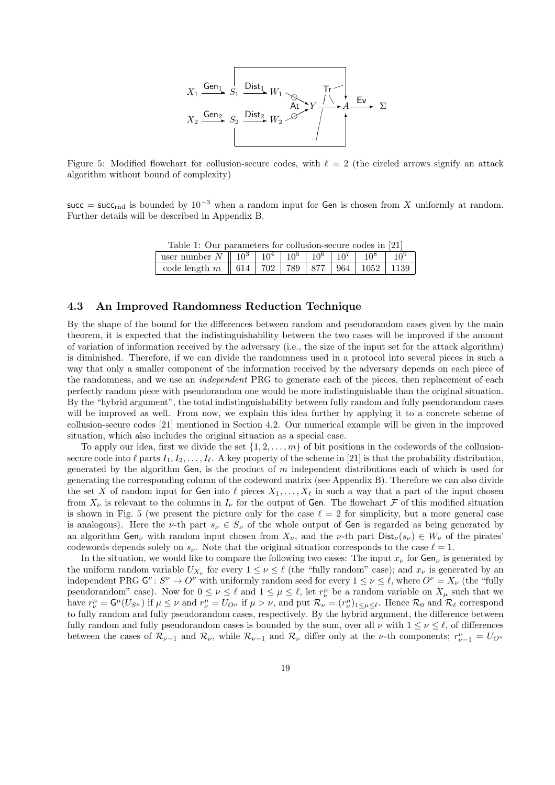

Figure 5: Modified flowchart for collusion-secure codes, with *ℓ* = 2 (the circled arrows signify an attack algorithm without bound of complexity)

succ = succ<sub>rnd</sub> is bounded by 10<sup>-3</sup> when a random input for Gen is chosen from *X* uniformly at random. Further details will be described in Appendix B.

| Table 1: Our parameters for collusion-secure codes in [21]                                                               |  |  |  |  |  |  |  |
|--------------------------------------------------------------------------------------------------------------------------|--|--|--|--|--|--|--|
| user number $N \parallel 10^3 \parallel 10^4 \parallel 10^5 \parallel 10^6 \parallel 10^7 \parallel 10^8 \parallel 10^9$ |  |  |  |  |  |  |  |
| code length $m$   614   702   789   877   964   1052   1139                                                              |  |  |  |  |  |  |  |

### **4.3 An Improved Randomness Reduction Technique**

By the shape of the bound for the differences between random and pseudorandom cases given by the main theorem, it is expected that the indistinguishability between the two cases will be improved if the amount of variation of information received by the adversary (i.e., the size of the input set for the attack algorithm) is diminished. Therefore, if we can divide the randomness used in a protocol into several pieces in such a way that only a smaller component of the information received by the adversary depends on each piece of the randomness, and we use an *independent* PRG to generate each of the pieces, then replacement of each perfectly random piece with pseudorandom one would be more indistinguishable than the original situation. By the "hybrid argument", the total indistinguishability between fully random and fully pseudorandom cases will be improved as well. From now, we explain this idea further by applying it to a concrete scheme of collusion-secure codes [21] mentioned in Section 4.2. Our numerical example will be given in the improved situation, which also includes the original situation as a special case.

To apply our idea, first we divide the set *{*1*,* 2*, . . . , m}* of bit positions in the codewords of the collusionsecure code into  $\ell$  parts  $I_1, I_2, \ldots, I_\ell$ . A key property of the scheme in [21] is that the probability distribution, generated by the algorithm Gen, is the product of *m* independent distributions each of which is used for generating the corresponding column of the codeword matrix (see Appendix B). Therefore we can also divide the set *X* of random input for Gen into  $\ell$  pieces  $X_1, \ldots, X_\ell$  in such a way that a part of the input chosen from  $X_{\nu}$  is relevant to the columns in  $I_{\nu}$  for the output of Gen. The flowchart  $\mathcal F$  of this modified situation is shown in Fig. 5 (we present the picture only for the case  $\ell = 2$  for simplicity, but a more general case is analogous). Here the *ν*-th part  $s_{\nu} \in S_{\nu}$  of the whole output of Gen is regarded as being generated by an algorithm  $\mathsf{Gen}_\nu$  with random input chosen from  $X_\nu$ , and the *ν*-th part  $\mathsf{Dist}_\nu(s_\nu) \in W_\nu$  of the pirates' codewords depends solely on  $s_{\nu}$ . Note that the original situation corresponds to the case  $\ell = 1$ .

In the situation, we would like to compare the following two cases: The input  $x<sub>\nu</sub>$  for  $Gen_{\nu}$  is generated by the uniform random variable  $U_{X_{\nu}}$  for every  $1 \leq \nu \leq \ell$  (the "fully random" case); and  $x_{\nu}$  is generated by an independent PRG  $G^{\nu}$ :  $S^{\nu} \to O^{\nu}$  with uniformly random seed for every  $1 \leq \nu \leq \ell$ , where  $O^{\nu} = X_{\nu}$  (the "fully pseudorandom" case). Now for  $0 \leq \nu \leq \ell$  and  $1 \leq \mu \leq \ell$ , let  $r^{\mu}_{\nu}$  be a random variable on  $X_{\mu}$  such that we have  $r^{\mu}_{\nu} = \mathsf{G}^{\mu}(U_{S^{\mu}})$  if  $\mu \leq \nu$  and  $r^{\mu}_{\nu} = U_{O^{\mu}}$  if  $\mu > \nu$ , and put  $\mathcal{R}_{\nu} = (r^{\mu}_{\nu})_{1 \leq \mu \leq \ell}$ . Hence  $\mathcal{R}_{0}$  and  $\mathcal{R}_{\ell}$  correspond to fully random and fully pseudorandom cases, respectively. By the hybrid argument, the difference between fully random and fully pseudorandom cases is bounded by the sum, over all  $\nu$  with  $1 \leq \nu \leq \ell$ , of differences between the cases of  $\mathcal{R}_{\nu-1}$  and  $\mathcal{R}_{\nu}$ , while  $\mathcal{R}_{\nu-1}$  and  $\mathcal{R}_{\nu}$  differ only at the  $\nu$ -th components;  $r_{\nu-1}^{\nu}=U_{Q^{\nu}}$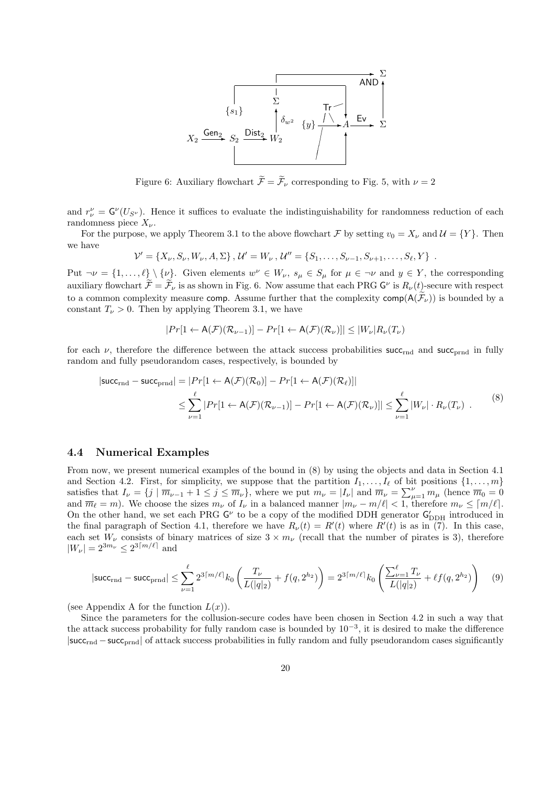

Figure 6: Auxiliary flowchart  $\widetilde{\mathcal{F}} = \widetilde{\mathcal{F}}_{\nu}$  corresponding to Fig. 5, with  $\nu = 2$ 

and  $r^{\nu}_{\nu} = G^{\nu}(U_{S^{\nu}})$ . Hence it suffices to evaluate the indistinguishability for randomness reduction of each randomness piece *Xν*.

For the purpose, we apply Theorem 3.1 to the above flowchart *F* by setting  $v_0 = X_\nu$  and  $\mathcal{U} = \{Y\}$ . Then we have

 $\mathcal{V}' = \{X_{\nu}, S_{\nu}, W_{\nu}, A, \Sigma\}, \mathcal{U}' = W_{\nu}, \mathcal{U}'' = \{S_1, \ldots, S_{\nu-1}, S_{\nu+1}, \ldots, S_{\ell}, Y\}$ .

Put  $\neg \nu = \{1,\ldots,\ell\} \setminus \{\nu\}.$  Given elements  $w^{\nu} \in W_{\nu}$ ,  $s_{\mu} \in S_{\mu}$  for  $\mu \in \neg \nu$  and  $y \in Y$ , the corresponding auxiliary flowchart  $\widetilde{\mathcal{F}} = \widetilde{\mathcal{F}}_\nu$  is as shown in Fig. 6. Now assume that each PRG  $G^\nu$  is  $R_\nu(t)$ -secure with respect to a common complexity measure comp. Assume further that the complexity comp( $A(\mathcal{F}_\nu)$ ) is bounded by a constant  $T_{\nu} > 0$ . Then by applying Theorem 3.1, we have

$$
|Pr[1 \leftarrow A(\mathcal{F})(\mathcal{R}_{\nu-1})] - Pr[1 \leftarrow A(\mathcal{F})(\mathcal{R}_{\nu})] | \leq |W_{\nu}| R_{\nu}(T_{\nu})
$$

for each  $\nu$ , therefore the difference between the attack success probabilities succ<sub>rnd</sub> and succ<sub>prnd</sub> in fully random and fully pseudorandom cases, respectively, is bounded by

$$
|\text{succ}_{\text{rnd}} - \text{succ}_{\text{prnd}}| = |Pr[1 \leftarrow A(\mathcal{F})(\mathcal{R}_0)] - Pr[1 \leftarrow A(\mathcal{F})(\mathcal{R}_\ell)]|
$$
  

$$
\leq \sum_{\nu=1}^{\ell} |Pr[1 \leftarrow A(\mathcal{F})(\mathcal{R}_{\nu-1})] - Pr[1 \leftarrow A(\mathcal{F})(\mathcal{R}_{\nu})]| \leq \sum_{\nu=1}^{\ell} |W_{\nu}| \cdot R_{\nu}(T_{\nu}). \qquad (8)
$$

### **4.4 Numerical Examples**

From now, we present numerical examples of the bound in (8) by using the objects and data in Section 4.1 and Section 4.2. First, for simplicity, we suppose that the partition  $I_1, \ldots, I_\ell$  of bit positions  $\{1, \ldots, m\}$ satisfies that  $I_{\nu} = \{j \mid \overline{m}_{\nu-1} + 1 \leq j \leq \overline{m}_{\nu}\}\$ , where we put  $m_{\nu} = |I_{\nu}|$  and  $\overline{m}_{\nu} = \sum_{\mu=1}^{\nu} m_{\mu}$  (hence  $\overline{m}_0 = 0$ and  $\overline{m}_{\ell} = m$ ). We choose the sizes  $m_{\nu}$  of  $I_{\nu}$  in a balanced manner  $|m_{\nu} - m/\ell| < 1$ , therefore  $m_{\nu} \leq [m/\ell]$ . On the other hand, we set each PRG  $G^{\nu}$  to be a copy of the modified DDH generator  $G'_{\text{DDH}}$  introduced in the final paragraph of Section 4.1, therefore we have  $R_\nu(t) = R'(t)$  where  $R'(t)$  is as in (7). In this case, each set  $W_\nu$  consists of binary matrices of size  $3 \times m_\nu$  (recall that the number of pirates is 3), therefore  $|W_{\nu}| = 2^{3m_{\nu}} \leq 2^{3\lceil m/\ell \rceil}$  and

$$
|\text{succ}_{\text{rnd}} - \text{succ}_{\text{prnd}}| \le \sum_{\nu=1}^{\ell} 2^{3\lceil m/\ell \rceil} k_0 \left( \frac{T_{\nu}}{L(|q|_2)} + f(q, 2^{h_2}) \right) = 2^{3\lceil m/\ell \rceil} k_0 \left( \frac{\sum_{\nu=1}^{\ell} T_{\nu}}{L(|q|_2)} + \ell f(q, 2^{h_2}) \right) \tag{9}
$$

(see Appendix A for the function  $L(x)$ ).

Since the parameters for the collusion-secure codes have been chosen in Section 4.2 in such a way that the attack success probability for fully random case is bounded by 10*<sup>−</sup>*<sup>3</sup> , it is desired to make the difference *|*succrnd *−*succprnd*|* of attack success probabilities in fully random and fully pseudorandom cases significantly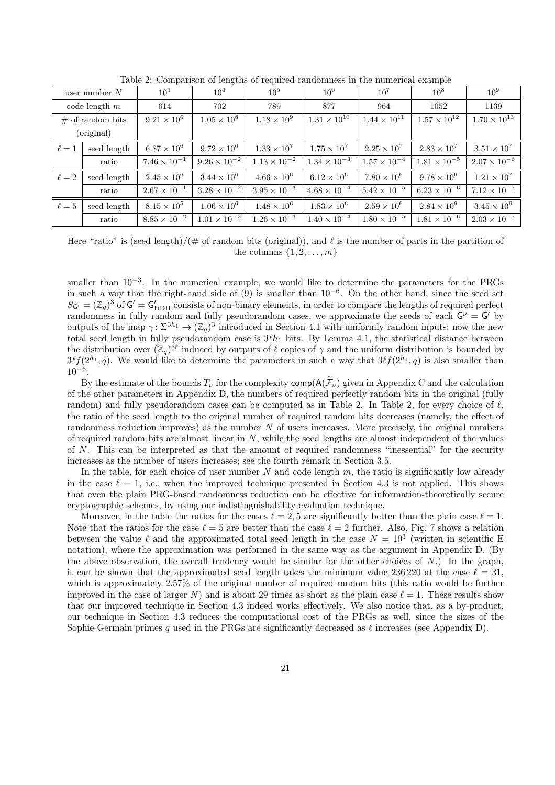|          | user number $N$    | $10^3$                | $10^4$                | $10^5$                | $10^6$                | 10 <sup>7</sup>       | $10^8$                | 10 <sup>9</sup>       |
|----------|--------------------|-----------------------|-----------------------|-----------------------|-----------------------|-----------------------|-----------------------|-----------------------|
|          | code length $m$    | 614                   | 702                   | 789                   | 877                   | 964                   | 1052                  | 1139                  |
|          | $#$ of random bits | $9.21 \times 10^6$    | $1.05 \times 10^{8}$  | $1.18 \times 10^{9}$  | $1.31 \times 10^{10}$ | $1.44 \times 10^{11}$ | $1.57 \times 10^{12}$ | $1.70 \times 10^{13}$ |
|          | (original)         |                       |                       |                       |                       |                       |                       |                       |
| $\ell=1$ | seed length        | $6.87 \times 10^{6}$  | $9.72 \times 10^{6}$  | $1.33 \times 10^{7}$  | $1.75 \times 10^{7}$  | $2.25 \times 10^{7}$  | $2.83 \times 10^{7}$  | $3.51 \times 10^{7}$  |
|          | ratio              | $7.46 \times 10^{-1}$ | $9.26 \times 10^{-2}$ | $1.13 \times 10^{-2}$ | $1.34 \times 10^{-3}$ | $1.57 \times 10^{-4}$ | $1.81 \times 10^{-5}$ | $2.07 \times 10^{-6}$ |
| $\ell=2$ | seed length        | $2.45 \times 10^{6}$  | $3.44 \times 10^{6}$  | $4.66 \times 10^{6}$  | $6.12 \times 10^{6}$  | $7.80 \times 10^{6}$  | $9.78 \times 10^{6}$  | $1.21\times10^7$      |
|          | ratio              | $2.67 \times 10^{-1}$ | $3.28 \times 10^{-2}$ | $3.95 \times 10^{-3}$ | $4.68 \times 10^{-4}$ | $5.42 \times 10^{-5}$ | $6.23 \times 10^{-6}$ | $7.12 \times 10^{-7}$ |
| $\ell=5$ | seed length        | $8.15 \times 10^{5}$  | $1.06 \times 10^{6}$  | $1.48 \times 10^{6}$  | $1.83 \times 10^{6}$  | $2.59 \times 10^{6}$  | $2.84 \times 10^{6}$  | $3.45 \times 10^{6}$  |
|          | ratio              | $8.85 \times 10^{-2}$ | $1.01 \times 10^{-2}$ | $1.26 \times 10^{-3}$ | $1.40 \times 10^{-4}$ | $1.80 \times 10^{-5}$ | $1.81 \times 10^{-6}$ | $2.03 \times 10^{-7}$ |

Table 2: Comparison of lengths of required randomness in the numerical example

Here "ratio" is (seed length)*/*(# of random bits (original)), and *ℓ* is the number of parts in the partition of the columns  $\{1, 2, ..., m\}$ 

smaller than 10<sup>-3</sup>. In the numerical example, we would like to determine the parameters for the PRGs in such a way that the right-hand side of (9) is smaller than 10*<sup>−</sup>*<sup>6</sup> . On the other hand, since the seed set  $S_{\mathsf{G'}} = (\mathbb{Z}_q)^3$  of  $\mathsf{G'} = \mathsf{G}_{\mathrm{DDH}}'$  consists of non-binary elements, in order to compare the lengths of required perfect randomness in fully random and fully pseudorandom cases, we approximate the seeds of each  $G^{\nu} = G'$  by outputs of the map  $\gamma: \Sigma^{3h_1} \to (\mathbb{Z}_q)^3$  introduced in Section 4.1 with uniformly random inputs; now the new total seed length in fully pseudorandom case is 3*ℓh*<sup>1</sup> bits. By Lemma 4.1, the statistical distance between the distribution over  $(\mathbb{Z}_q)^{3\ell}$  induced by outputs of  $\ell$  copies of  $\gamma$  and the uniform distribution is bounded by  $3\ell f(2^{h_1}, q)$ . We would like to determine the parameters in such a way that  $3\ell f(2^{h_1}, q)$  is also smaller than 10*<sup>−</sup>*<sup>6</sup> .

By the estimate of the bounds  $T_\nu$  for the complexity comp( $A(\widetilde{\mathcal{F}}_\nu)$  given in Appendix C and the calculation of the other parameters in Appendix D, the numbers of required perfectly random bits in the original (fully random) and fully pseudorandom cases can be computed as in Table 2. In Table 2, for every choice of *ℓ*, the ratio of the seed length to the original number of required random bits decreases (namely, the effect of randomness reduction improves) as the number *N* of users increases. More precisely, the original numbers of required random bits are almost linear in *N*, while the seed lengths are almost independent of the values of *N*. This can be interpreted as that the amount of required randomness "inessential" for the security increases as the number of users increases; see the fourth remark in Section 3.5.

In the table, for each choice of user number *N* and code length *m*, the ratio is significantly low already in the case  $\ell = 1$ , i.e., when the improved technique presented in Section 4.3 is not applied. This shows that even the plain PRG-based randomness reduction can be effective for information-theoretically secure cryptographic schemes, by using our indistinguishability evaluation technique.

Moreover, in the table the ratios for the cases  $\ell = 2, 5$  are significantly better than the plain case  $\ell = 1$ . Note that the ratios for the case  $\ell = 5$  are better than the case  $\ell = 2$  further. Also, Fig. 7 shows a relation between the value  $\ell$  and the approximated total seed length in the case  $N = 10^3$  (written in scientific E notation), where the approximation was performed in the same way as the argument in Appendix D. (By the above observation, the overall tendency would be similar for the other choices of *N*.) In the graph, it can be shown that the approximated seed length takes the minimum value 236 220 at the case  $\ell = 31$ , which is approximately 2*.*57% of the original number of required random bits (this ratio would be further improved in the case of larger N) and is about 29 times as short as the plain case  $\ell = 1$ . These results show that our improved technique in Section 4.3 indeed works effectively. We also notice that, as a by-product, our technique in Section 4.3 reduces the computational cost of the PRGs as well, since the sizes of the Sophie-Germain primes *q* used in the PRGs are significantly decreased as *ℓ* increases (see Appendix D).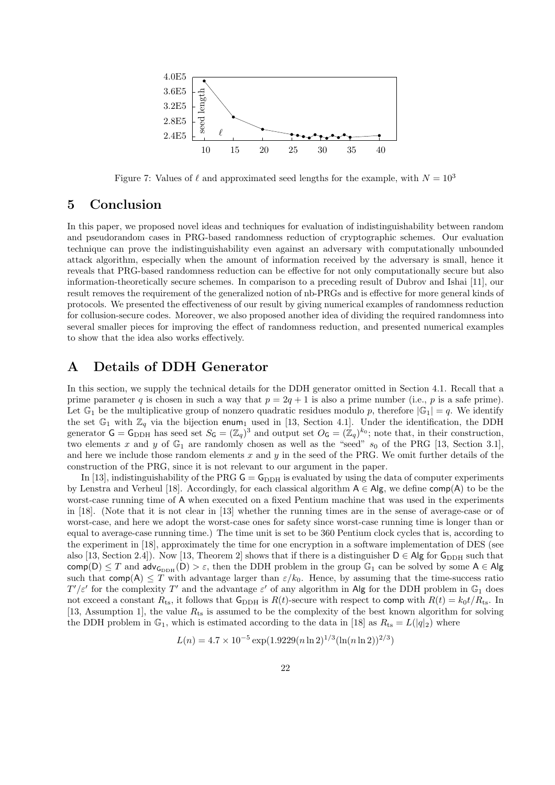

Figure 7: Values of  $\ell$  and approximated seed lengths for the example, with  $N = 10^3$ 

# **5 Conclusion**

In this paper, we proposed novel ideas and techniques for evaluation of indistinguishability between random and pseudorandom cases in PRG-based randomness reduction of cryptographic schemes. Our evaluation technique can prove the indistinguishability even against an adversary with computationally unbounded attack algorithm, especially when the amount of information received by the adversary is small, hence it reveals that PRG-based randomness reduction can be effective for not only computationally secure but also information-theoretically secure schemes. In comparison to a preceding result of Dubrov and Ishai [11], our result removes the requirement of the generalized notion of nb-PRGs and is effective for more general kinds of protocols. We presented the effectiveness of our result by giving numerical examples of randomness reduction for collusion-secure codes. Moreover, we also proposed another idea of dividing the required randomness into several smaller pieces for improving the effect of randomness reduction, and presented numerical examples to show that the idea also works effectively.

### **A Details of DDH Generator**

In this section, we supply the technical details for the DDH generator omitted in Section 4.1. Recall that a prime parameter *q* is chosen in such a way that  $p = 2q + 1$  is also a prime number (i.e., *p* is a safe prime). Let  $\mathbb{G}_1$  be the multiplicative group of nonzero quadratic residues modulo p, therefore  $|\mathbb{G}_1| = q$ . We identify the set  $\mathbb{G}_1$  with  $\mathbb{Z}_q$  via the bijection enum<sub>1</sub> used in [13, Section 4.1]. Under the identification, the DDH generator  $G = G_{\text{DDH}}$  has seed set  $S_G = (\mathbb{Z}_q)^3$  and output set  $O_G = (\mathbb{Z}_q)^{k_0}$ ; note that, in their construction, two elements x and y of  $\mathbb{G}_1$  are randomly chosen as well as the "seed"  $s_0$  of the PRG [13, Section 3.1], and here we include those random elements *x* and *y* in the seed of the PRG. We omit further details of the construction of the PRG, since it is not relevant to our argument in the paper.

In [13], indistinguishability of the PRG  $G = G_{\text{DDH}}$  is evaluated by using the data of computer experiments by Lenstra and Verheul [18]. Accordingly, for each classical algorithm A *∈* Alg, we define comp(A) to be the worst-case running time of A when executed on a fixed Pentium machine that was used in the experiments in [18]. (Note that it is not clear in [13] whether the running times are in the sense of average-case or of worst-case, and here we adopt the worst-case ones for safety since worst-case running time is longer than or equal to average-case running time.) The time unit is set to be 360 Pentium clock cycles that is, according to the experiment in [18], approximately the time for one encryption in a software implementation of DES (see also [13, Section 2.4]). Now [13, Theorem 2] shows that if there is a distinguisher  $D \in Alg$  for  $G_{DDH}$  such that  $comp(D) \leq T$  and  $adv_{G<sub>DDH</sub>}(D) > \varepsilon$ , then the DDH problem in the group  $\mathbb{G}<sub>1</sub>$  can be solved by some  $A \in Alg$ such that comp(A)  $\leq$  *T* with advantage larger than  $\varepsilon/k_0$ . Hence, by assuming that the time-success ratio *T*<sup> $\prime$ </sup>/ε<sup>*'*</sup> for the complexity *T'* and the advantage  $\varepsilon'$  of any algorithm in Alg for the DDH problem in  $\mathbb{G}_1$  does not exceed a constant  $R_{\text{ts}}$ , it follows that  $G_{\text{DDH}}$  is  $R(t)$ -secure with respect to comp with  $R(t) = k_0 t / R_{\text{ts}}$ . In [13, Assumption 1], the value  $R_{\text{ts}}$  is assumed to be the complexity of the best known algorithm for solving the DDH problem in  $\mathbb{G}_1$ , which is estimated according to the data in [18] as  $R_{ts} = L(|q_2|)$  where

$$
L(n) = 4.7 \times 10^{-5} \exp(1.9229(n \ln 2)^{1/3} (\ln(n \ln 2))^{2/3})
$$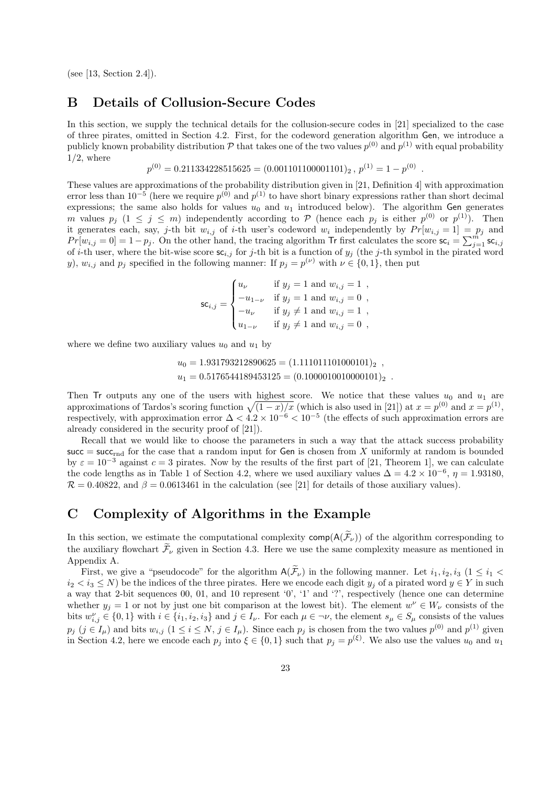(see [13, Section 2.4]).

# **B Details of Collusion-Secure Codes**

In this section, we supply the technical details for the collusion-secure codes in [21] specialized to the case of three pirates, omitted in Section 4.2. First, for the codeword generation algorithm Gen, we introduce a publicly known probability distribution  $P$  that takes one of the two values  $p^{(0)}$  and  $p^{(1)}$  with equal probability 1*/*2, where

$$
p^{(0)} = 0.211334228515625 = (0.001101100001101)_2, p^{(1)} = 1 - p^{(0)}
$$

*.*

These values are approximations of the probability distribution given in [21, Definition 4] with approximation error less than  $10^{-5}$  (here we require  $p^{(0)}$  and  $p^{(1)}$  to have short binary expressions rather than short decimal expressions; the same also holds for values  $u_0$  and  $u_1$  introduced below). The algorithm Gen generates *m* values  $p_j$  ( $1 \leq j \leq m$ ) independently according to *P* (hence each  $p_j$  is either  $p^{(0)}$  or  $p^{(1)}$ ). Then it generates each, say, *j*-th bit  $w_{i,j}$  of *i*-th user's codeword  $w_i$  independently by  $Pr[w_{i,j} = 1] = p_j$  and  $Pr[w_{i,j} = 0] = 1 - p_j$ . On the other hand, the tracing algorithm Tr first calculates the score  $\mathbf{sc}_i = \sum_{j=1}^m \mathbf{sc}_{i,j}$ of *i*-th user, where the bit-wise score  $\mathbf{sc}_{i,j}$  for *j*-th bit is a function of  $y_j$  (the *j*-th symbol in the pirated word *y*),  $w_{i,j}$  and  $p_j$  specified in the following manner: If  $p_j = p^{(\nu)}$  with  $\nu \in \{0, 1\}$ , then put

$$
\mathsf{sc}_{i,j} = \begin{cases} u_{\nu} & \text{if } y_j = 1 \text{ and } w_{i,j} = 1 ,\\ -u_{1-\nu} & \text{if } y_j = 1 \text{ and } w_{i,j} = 0 ,\\ -u_{\nu} & \text{if } y_j \neq 1 \text{ and } w_{i,j} = 1 ,\\ u_{1-\nu} & \text{if } y_j \neq 1 \text{ and } w_{i,j} = 0 , \end{cases}
$$

where we define two auxiliary values  $u_0$  and  $u_1$  by

$$
u_0 = 1.931793212890625 = (1.111011101000101)_2 ,
$$
  

$$
u_1 = 0.5176544189453125 = (0.1000010010000101)_2 .
$$

Then Tr outputs any one of the users with highest score. We notice that these values  $u_0$  and  $u_1$  are approximations of Tardos's scoring function  $\sqrt{(1-x)/x}$  (which is also used in [21]) at  $x = p^{(0)}$  and  $x = p^{(1)}$ , respectively, with approximation error  $\Delta < 4.2 \times 10^{-6} < 10^{-5}$  (the effects of such approximation errors are already considered in the security proof of [21]).

Recall that we would like to choose the parameters in such a way that the attack success probability  $succ = succ_{rnd}$  for the case that a random input for Gen is chosen from *X* uniformly at random is bounded by  $\varepsilon = 10^{-3}$  against  $c = 3$  pirates. Now by the results of the first part of [21, Theorem 1], we can calculate the code lengths as in Table 1 of Section 4.2, where we used auxiliary values  $\Delta = 4.2 \times 10^{-6}$ ,  $\eta = 1.93180$ ,  $\mathcal{R} = 0.40822$ , and  $\beta = 0.0613461$  in the calculation (see [21] for details of those auxiliary values).

### **C Complexity of Algorithms in the Example**

In this section, we estimate the computational complexity  $\text{comp}(A(\widetilde{\mathcal{F}}_{\nu}))$  of the algorithm corresponding to the auxiliary flowchart  $\widetilde{\mathcal{F}}_{\nu}$  given in Section 4.3. Here we use the same complexity measure as mentioned in Appendix A.

First, we give a "pseudocode" for the algorithm  $A(\widetilde{\mathcal{F}}_{\nu})$  in the following manner. Let  $i_1, i_2, i_3$  ( $1 \leq i_1 <$  $i_2 < i_3 \le N$ ) be the indices of the three pirates. Here we encode each digit *y<sub>i</sub>* of a pirated word  $y \in Y$  in such a way that 2-bit sequences 00, 01, and 10 represent '0', '1' and '?', respectively (hence one can determine whether  $y_j = 1$  or not by just one bit comparison at the lowest bit). The element  $w^{\nu} \in W_{\nu}$  consists of the bits  $w_{i,j}^{\nu} \in \{0,1\}$  with  $i \in \{i_1,i_2,i_3\}$  and  $j \in I_{\nu}$ . For each  $\mu \in \neg \nu$ , the element  $s_{\mu} \in S_{\mu}$  consists of the values  $p_j$   $(j \in I_\mu)$  and bits  $w_{i,j}$   $(1 \leq i \leq N, j \in I_\mu)$ . Since each  $p_j$  is chosen from the two values  $p^{(0)}$  and  $p^{(1)}$  given in Section 4.2, here we encode each  $p_j$  into  $\xi \in \{0,1\}$  such that  $p_j = p^{(\xi)}$ . We also use the values  $u_0$  and  $u_1$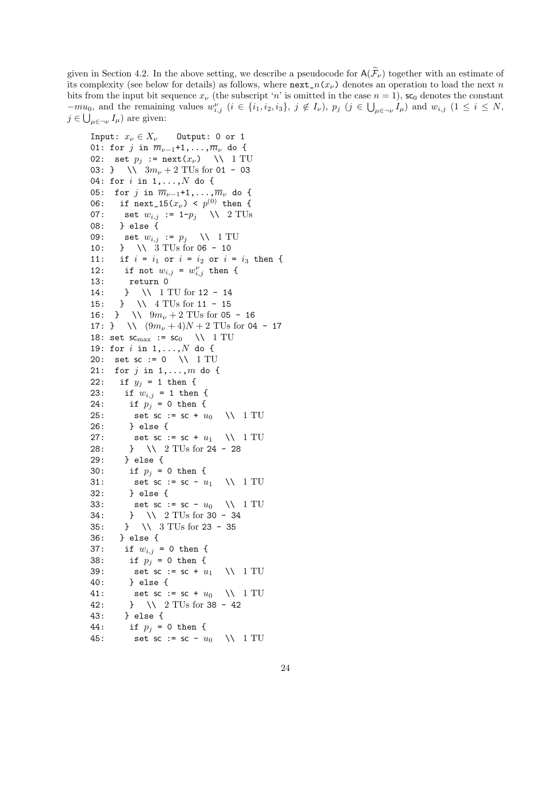given in Section 4.2. In the above setting, we describe a pseudocode for  $A(\tilde{\mathcal{F}}_{\nu})$  together with an estimate of its complexity (see below for details) as follows, where  $\text{next}_n(x_\nu)$  denotes an operation to load the next *n* bits from the input bit sequence  $x_{\nu}$  (the subscript '*n*' is omitted in the case  $n = 1$ ),  $\mathsf{sc}_0$  denotes the constant  $-mu_0$ , and the remaining values  $w_{i,j}^{\nu}$   $(i \in \{i_1, i_2, i_3\}, j \notin I_{\nu})$ ,  $p_j$   $(j \in \bigcup_{\mu \in \neg \nu} I_{\mu})$  and  $w_{i,j}$   $(1 \leq i \leq N,$  $j \in \bigcup_{\mu \in \neg \nu} I_{\mu}$  are given:

```
Input: x_\nu \in X_\nu Output: 0 or 1
01: for j in mν−1+1,...,mν do {
02: set p_j := next(x_{\nu}) \\ 1 TU
03: } \\ 3mν + 2 TUs for 01 - 03
04: for i in 1,...,N do {
05: for j in mν−1+1,...,mν do {
06: if next\_15(x_\nu) < p^{(0)} then {
07: set w_{i,j} := 1-p_j \\ 2 TUs
08: } else {
09: set w_{i,j} := p_j \\ 1 TU
10: } \\ 3 TUs for 06 - 10
11: if i = i_1 or i = i_2 or i = i_3 then {
12: if not w_{i,j} = w_{i,j}^{\nu} then {
13: return 0
14: } \\ 1 TU for 12 - 14
15: } \\ 4 TUs for 11 - 15
16: } \sqrt{9m_{\nu}+2} TUs for 05 - 16
17: } \sqrt{(9m_\nu+4)}N+2 TUs for 04 - 17
18: set sc_{max} := sc_0 \quad \text{N} 1 TU
19: for i in 1,...,N do {
20: set sc := 0 \quad \} \quad 1 \text{ TU}21: for j in 1,...,m do {
22: if y_j = 1 then {
23: if w_{i,j} = 1 then {
24: if p_j = 0 then {
25: set sc := sc + u_0 \\ 1 TU
26: } else {
27: set sc := sc + u_1 \\ 1 TU
28: } \\ 2 TUs for 24 - 28
29: } else {
30: if p_j = 0 then {
31: set sc := sc - u_1 \\ 1 TU
32: } else {
33: set sc := sc - u_0 \\ 1 TU
34: } \\ 2 TUs for 30 - 34
35: } \\ 3 TUs for 23 - 35
36: } else {
37: if wi,j = 0 then {
38: if p_j = 0 then {
39: set sc := sc + u_1 \\ 1 TU
40: } else {
41: set sc := sc + u_0 \\ 1 TU
42: } \\ 2 TUs for 38 - 42
43: } else {
44: if p_j = 0 then {
45: set sc := sc - u_0 \\ 1 TU
```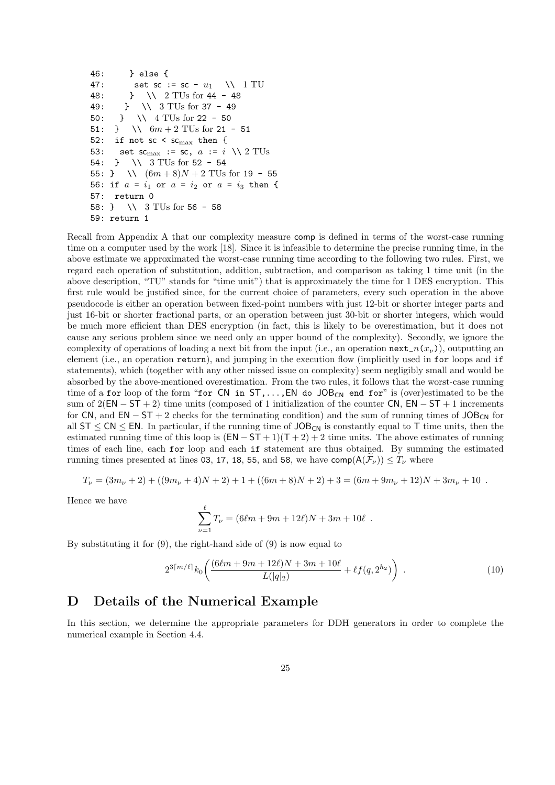46: } else { 47: set sc := sc - 
$$
u_1
$$
 \1 TU  
\n48: }  $\setminus$  2 TUs for 44 - 48  
\n49: }  $\setminus$  3 TUs for 37 - 49  
\n50: }  $\setminus$  4 TUs for 22 - 50  
\n51: }  $\setminus$  6m + 2 TUs for 21 - 51  
\n52: if not sc < sc<sub>max</sub> then {  
\n53: set sc<sub>max</sub> := sc, a :=  $i \setminus$  2 TUs  
\n54: }  $\setminus$  3 TUs for 52 - 54  
\n55: }  $\setminus$  (6m + 8)N + 2 TUs for 19 - 55  
\n56: if a =  $i_1$  or a =  $i_2$  or a =  $i_3$  then {  
\n57: return 0  
\n58: }  $\setminus$  3 TUs for 56 - 58  
\n59: return 1

Recall from Appendix A that our complexity measure comp is defined in terms of the worst-case running time on a computer used by the work [18]. Since it is infeasible to determine the precise running time, in the above estimate we approximated the worst-case running time according to the following two rules. First, we regard each operation of substitution, addition, subtraction, and comparison as taking 1 time unit (in the above description, "TU" stands for "time unit") that is approximately the time for 1 DES encryption. This first rule would be justified since, for the current choice of parameters, every such operation in the above pseudocode is either an operation between fixed-point numbers with just 12-bit or shorter integer parts and just 16-bit or shorter fractional parts, or an operation between just 30-bit or shorter integers, which would be much more efficient than DES encryption (in fact, this is likely to be overestimation, but it does not cause any serious problem since we need only an upper bound of the complexity). Secondly, we ignore the complexity of operations of loading a next bit from the input (i.e., an operation  $\texttt{next}_n(x_\nu)$ ), outputting an element (i.e., an operation return), and jumping in the execution flow (implicitly used in for loops and if statements), which (together with any other missed issue on complexity) seem negligibly small and would be absorbed by the above-mentioned overestimation. From the two rules, it follows that the worst-case running time of a for loop of the form "for  $CN$  in  $ST, \ldots, EN$  do  $JOB_{CN}$  end for" is (over)estimated to be the sum of 2(EN − ST + 2) time units (composed of 1 initialization of the counter CN, EN − ST + 1 increments for CN, and  $EN - ST + 2$  checks for the terminating condition) and the sum of running times of JOB<sub>CN</sub> for all  $ST \le CN \le EN$ . In particular, if the running time of  $JOB_{CN}$  is constantly equal to T time units, then the estimated running time of this loop is (EN *−* ST + 1)(T + 2) + 2 time units. The above estimates of running times of each line, each for loop and each if statement are thus obtained. By summing the estimated running times presented at lines 03, 17, 18, 55, and 58, we have  $\text{comp}(A(\mathcal{F}_\nu)) \leq T_\nu$  where

$$
T_{\nu} = (3m_{\nu} + 2) + ((9m_{\nu} + 4)N + 2) + 1 + ((6m + 8)N + 2) + 3 = (6m + 9m_{\nu} + 12)N + 3m_{\nu} + 10.
$$

Hence we have

$$
\sum_{\nu=1}^{\ell} T_{\nu} = (6\ell m + 9m + 12\ell)N + 3m + 10\ell.
$$

By substituting it for (9), the right-hand side of (9) is now equal to

$$
2^{3\lceil m/\ell \rceil} k_0 \left( \frac{(6\ell m + 9m + 12\ell)N + 3m + 10\ell}{L(|q|_2)} + \ell f(q, 2^{h_2}) \right) \,. \tag{10}
$$

### **D Details of the Numerical Example**

In this section, we determine the appropriate parameters for DDH generators in order to complete the numerical example in Section 4.4.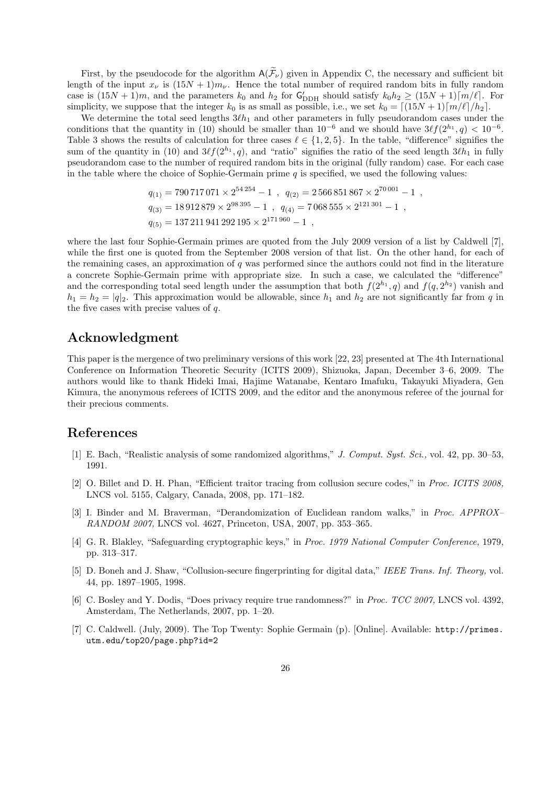First, by the pseudocode for the algorithm  $A(\tilde{\mathcal{F}}_{\nu})$  given in Appendix C, the necessary and sufficient bit length of the input  $x_{\nu}$  is  $(15N + 1)m_{\nu}$ . Hence the total number of required random bits in fully random case is  $(15N + 1)m$ , and the parameters  $k_0$  and  $h_2$  for  $G'_{\text{DDH}}$  should satisfy  $k_0 h_2 \ge (15N + 1)\lceil m/\ell \rceil$ . For simplicity, we suppose that the integer  $k_0$  is as small as possible, i.e., we set  $k_0 = \frac{\left\lfloor (15N + 1) \right\lfloor m/\ell \rfloor}{\ell_2!}$ .

We determine the total seed lengths 3*ℓh*<sup>1</sup> and other parameters in fully pseudorandom cases under the conditions that the quantity in (10) should be smaller than  $10^{-6}$  and we should have  $3\ell f(2^{h_1},q) < 10^{-6}$ . Table 3 shows the results of calculation for three cases  $\ell \in \{1, 2, 5\}$ . In the table, "difference" signifies the sum of the quantity in (10) and  $3\ell f(2^{h_1}, q)$ , and "ratio" signifies the ratio of the seed length  $3\ell h_1$  in fully pseudorandom case to the number of required random bits in the original (fully random) case. For each case in the table where the choice of Sophie-Germain prime *q* is specified, we used the following values:

$$
q_{(1)} = 790\,717\,071 \times 2^{54\,254} - 1 , q_{(2)} = 2\,566\,851\,867 \times 2^{70\,001} - 1 ,q_{(3)} = 18\,912\,879 \times 2^{98\,395} - 1 , q_{(4)} = 7\,068\,555 \times 2^{121\,301} - 1 ,q_{(5)} = 137\,211\,941\,292\,195 \times 2^{171\,960} - 1 ,
$$

where the last four Sophie-Germain primes are quoted from the July 2009 version of a list by Caldwell [7], while the first one is quoted from the September 2008 version of that list. On the other hand, for each of the remaining cases, an approximation of *q* was performed since the authors could not find in the literature a concrete Sophie-Germain prime with appropriate size. In such a case, we calculated the "difference" and the corresponding total seed length under the assumption that both  $f(2^{h_1}, q)$  and  $f(q, 2^{h_2})$  vanish and  $h_1 = h_2 = |q|_2$ . This approximation would be allowable, since  $h_1$  and  $h_2$  are not significantly far from *q* in the five cases with precise values of *q*.

# **Acknowledgment**

This paper is the mergence of two preliminary versions of this work [22, 23] presented at The 4th International Conference on Information Theoretic Security (ICITS 2009), Shizuoka, Japan, December 3–6, 2009. The authors would like to thank Hideki Imai, Hajime Watanabe, Kentaro Imafuku, Takayuki Miyadera, Gen Kimura, the anonymous referees of ICITS 2009, and the editor and the anonymous referee of the journal for their precious comments.

## **References**

- [1] E. Bach, "Realistic analysis of some randomized algorithms," *J. Comput. Syst. Sci.,* vol. 42, pp. 30–53, 1991.
- [2] O. Billet and D. H. Phan, "Efficient traitor tracing from collusion secure codes," in *Proc. ICITS 2008,* LNCS vol. 5155, Calgary, Canada, 2008, pp. 171–182.
- [3] I. Binder and M. Braverman, "Derandomization of Euclidean random walks," in *Proc. APPROX– RANDOM 2007,* LNCS vol. 4627, Princeton, USA, 2007, pp. 353–365.
- [4] G. R. Blakley, "Safeguarding cryptographic keys," in *Proc. 1979 National Computer Conference,* 1979, pp. 313–317.
- [5] D. Boneh and J. Shaw, "Collusion-secure fingerprinting for digital data," *IEEE Trans. Inf. Theory,* vol. 44, pp. 1897–1905, 1998.
- [6] C. Bosley and Y. Dodis, "Does privacy require true randomness?" in *Proc. TCC 2007,* LNCS vol. 4392, Amsterdam, The Netherlands, 2007, pp. 1–20.
- [7] C. Caldwell. (July, 2009). The Top Twenty: Sophie Germain (p). [Online]. Available: http://primes. utm.edu/top20/page.php?id=2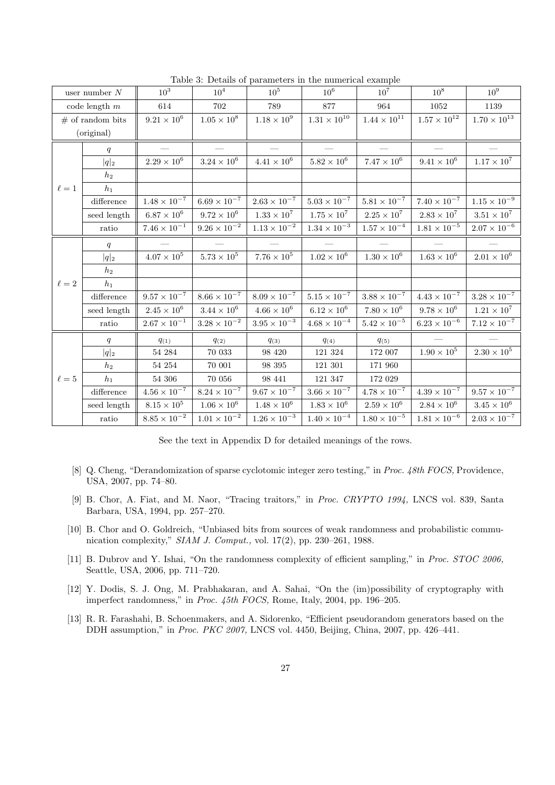|            | user number $N$     | $10^3\,$              | $10^4\,$              | $10^5$                         | $10^6\,$             | $10^7$                | $10^8\,$              | 10 <sup>9</sup>                |
|------------|---------------------|-----------------------|-----------------------|--------------------------------|----------------------|-----------------------|-----------------------|--------------------------------|
|            | code length $m$     | 614                   | 702                   | 789                            | 877                  | 964                   | $1052\,$              | 1139                           |
|            | $\#$ of random bits | $9.21\times10^6$      | $1.05\times10^8$      | $1.18\times10^9$               | $1.31\times10^{10}$  | $1.44\times10^{11}$   | $1.57\times10^{12}$   | $1.70\times10^{13}$            |
| (original) |                     |                       |                       |                                |                      |                       |                       |                                |
|            | $\boldsymbol{q}$    |                       |                       |                                |                      |                       |                       |                                |
|            | $ q _2$             | $2.29\times10^6$      | $3.24\times10^6$      | $4.41\times10^6$               | $5.82\times10^6$     | $7.47\times10^6$      | $9.41\times10^6$      | $1.17 \times 10^{7}$           |
|            | $h_2$               |                       |                       |                                |                      |                       |                       |                                |
| $\ell=1$   | $h_1$               |                       |                       |                                |                      |                       |                       |                                |
|            | difference          | $1.48\times10^{-7}$   | $6.69\times10^{-7}$   | $2.63\times10^{-7}$            | $5.03\times10^{-7}$  | $5.81\times10^{-7}$   | $7.40\times10^{-7}$   | $1.15\times\overline{10^{-9}}$ |
|            | seed length         | $6.87 \times 10^{6}$  | $9.72 \times 10^{6}$  | $1.33\times10^7$               | $1.75\times10^7$     | $2.25\times10^7$      | $2.83\times10^7$      | $3.51\times10^7$               |
|            | ratio               | $7.46\times10^{-1}$   | $9.26\times10^{-2}$   | $1.13\times10^{-2}$            | $1.34\times10^{-3}$  | $1.57\times10^{-4}$   | $1.81\times10^{-5}$   | $2.07\times10^{-6}$            |
|            | q                   |                       |                       |                                |                      |                       |                       |                                |
|            | $ q _2$             | $4.07\times10^5$      | $5.73\times10^5$      | $7.76\times10^5$               | $1.02\times10^6$     | $1.30 \times 10^{6}$  | $1.63\times10^6$      | $2.01\times10^6$               |
|            | $h_2$               |                       |                       |                                |                      |                       |                       |                                |
| $\ell=2$   | $h_1$               |                       |                       |                                |                      |                       |                       |                                |
|            | difference          | $9.57 \times 10^{-7}$ | $8.66 \times 10^{-7}$ | $8.09 \times 10^{-7}$          | $5.15\times10^{-7}$  | $3.88 \times 10^{-7}$ | $4.43 \times 10^{-7}$ | $3.28 \times 10^{-7}$          |
|            | seed length         | $2.45 \times 10^{6}$  | $3.44 \times 10^{6}$  | $4.66 \times 10^{6}$           | $6.12 \times 10^{6}$ | $7.80\times10^6$      | $9.78\times10^6$      | $1.21\times10^7$               |
|            | ratio               | $2.67\times10^{-1}$   | $3.28 \times 10^{-2}$ | $3.95\times10^{-3}$            | $4.68\times10^{-4}$  | $5.42 \times 10^{-5}$ | $6.23 \times 10^{-6}$ | $7.12 \times 10^{-7}$          |
|            | q                   | $q_{(1)}$             | $q_{(2)}$             | $q_{(3)}$                      | $q_{(4)}$            | $q_{(5)}$             |                       |                                |
|            | $ q _2$             | $54\ 284$             | $70\ 033$             | 98 4 20                        | 121 324              | 172 007               | $1.90 \times 10^{5}$  | $2.30\times10^5$               |
| $\ell=5$   | $h_2$               | $54\ 254$             | 70 001                | $98\ 395$                      | 121 301              | 171 960               |                       |                                |
|            | $h_1$               | $54\ 306$             | 70 056                | 98 441                         | 121 347              | 172 029               |                       |                                |
|            | difference          | $4.56\times10^{-7}$   | $8.24\times10^{-7}$   | $9.67\times10^{-7}$            | $3.66\times10^{-7}$  | $4.78 \times 10^{-7}$ | $4.39\times10^{-7}$   | $9.57\times10^{-7}$            |
|            | seed length         | $8.15 \times 10^{5}$  | $1.06 \times 10^{6}$  | $1.48 \times 10^{6}$           | $1.83\times10^6$     | $2.59 \times 10^{6}$  | $2.84\times10^6$      | $3.45 \times 10^6$             |
|            | ratio               | $8.85\times 10^{-2}$  | $1.01\times10^{-2}$   | $1.26\times\overline{10^{-3}}$ | $1.40\times10^{-4}$  | $1.80\times10^{-5}$   | $1.81\times10^{-6}$   | $2.03 \times 10^{-7}$          |

Table 3: Details of parameters in the numerical example

See the text in Appendix D for detailed meanings of the rows.

- [8] Q. Cheng, "Derandomization of sparse cyclotomic integer zero testing," in *Proc. 48th FOCS,* Providence, USA, 2007, pp. 74–80.
- [9] B. Chor, A. Fiat, and M. Naor, "Tracing traitors," in *Proc. CRYPTO 1994,* LNCS vol. 839, Santa Barbara, USA, 1994, pp. 257–270.
- [10] B. Chor and O. Goldreich, "Unbiased bits from sources of weak randomness and probabilistic communication complexity," *SIAM J. Comput.,* vol. 17(2), pp. 230–261, 1988.
- [11] B. Dubrov and Y. Ishai, "On the randomness complexity of efficient sampling," in *Proc. STOC 2006,* Seattle, USA, 2006, pp. 711–720.
- [12] Y. Dodis, S. J. Ong, M. Prabhakaran, and A. Sahai, "On the (im)possibility of cryptography with imperfect randomness," in *Proc. 45th FOCS,* Rome, Italy, 2004, pp. 196–205.
- [13] R. R. Farashahi, B. Schoenmakers, and A. Sidorenko, "Efficient pseudorandom generators based on the DDH assumption," in *Proc. PKC 2007,* LNCS vol. 4450, Beijing, China, 2007, pp. 426–441.